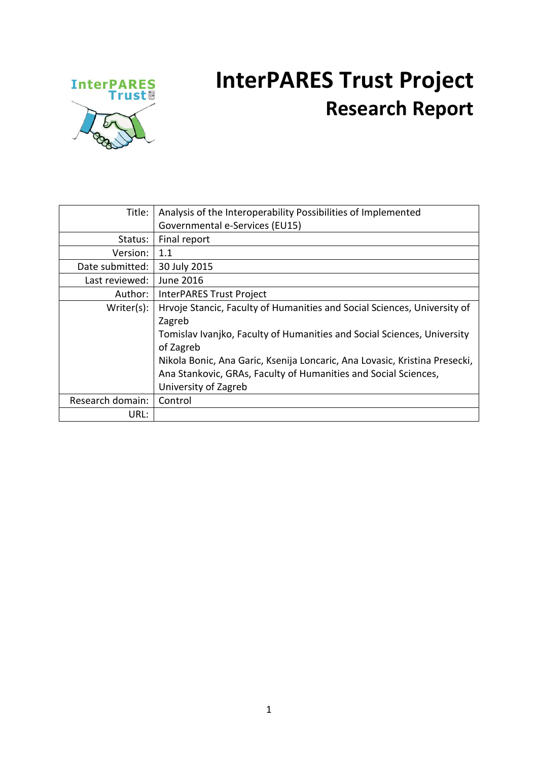

### **InterPARES Trust Project Research Report**

| Title:           | Analysis of the Interoperability Possibilities of Implemented              |
|------------------|----------------------------------------------------------------------------|
|                  | Governmental e-Services (EU15)                                             |
| Status:          | Final report                                                               |
| Version:         | 1.1                                                                        |
| Date submitted:  | 30 July 2015                                                               |
| Last reviewed:   | <b>June 2016</b>                                                           |
| Author:          | InterPARES Trust Project                                                   |
| Writer(s):       | Hrvoje Stancic, Faculty of Humanities and Social Sciences, University of   |
|                  | Zagreb                                                                     |
|                  | Tomislav Ivanjko, Faculty of Humanities and Social Sciences, University    |
|                  | of Zagreb                                                                  |
|                  | Nikola Bonic, Ana Garic, Ksenija Loncaric, Ana Lovasic, Kristina Presecki, |
|                  | Ana Stankovic, GRAs, Faculty of Humanities and Social Sciences,            |
|                  | University of Zagreb                                                       |
| Research domain: | Control                                                                    |
| URL:             |                                                                            |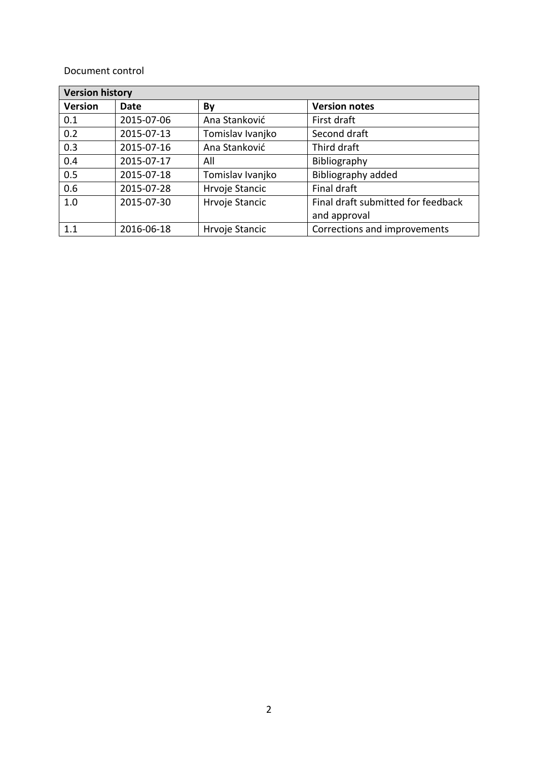#### Document control

| <b>Version history</b> |            |                  |                                    |  |  |  |
|------------------------|------------|------------------|------------------------------------|--|--|--|
| <b>Version</b>         | Date       | By               | <b>Version notes</b>               |  |  |  |
| 0.1                    | 2015-07-06 | Ana Stanković    | First draft                        |  |  |  |
| 0.2                    | 2015-07-13 | Tomislav Ivanjko | Second draft                       |  |  |  |
| 0.3                    | 2015-07-16 | Ana Stanković    | Third draft                        |  |  |  |
| 0.4                    | 2015-07-17 | All              | Bibliography                       |  |  |  |
| 0.5                    | 2015-07-18 | Tomislav Ivanjko | Bibliography added                 |  |  |  |
| 0.6                    | 2015-07-28 | Hrvoje Stancic   | Final draft                        |  |  |  |
| 1.0                    | 2015-07-30 | Hrvoje Stancic   | Final draft submitted for feedback |  |  |  |
|                        |            |                  | and approval                       |  |  |  |
| 1.1                    | 2016-06-18 | Hrvoje Stancic   | Corrections and improvements       |  |  |  |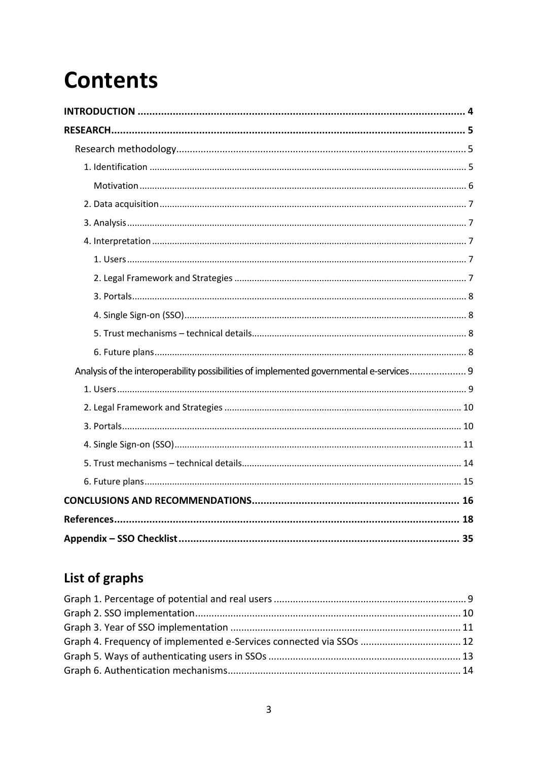## **Contents**

| Analysis of the interoperability possibilities of implemented governmental e-services 9 |
|-----------------------------------------------------------------------------------------|
|                                                                                         |
|                                                                                         |
|                                                                                         |
|                                                                                         |
|                                                                                         |
|                                                                                         |
|                                                                                         |
|                                                                                         |
|                                                                                         |

### List of graphs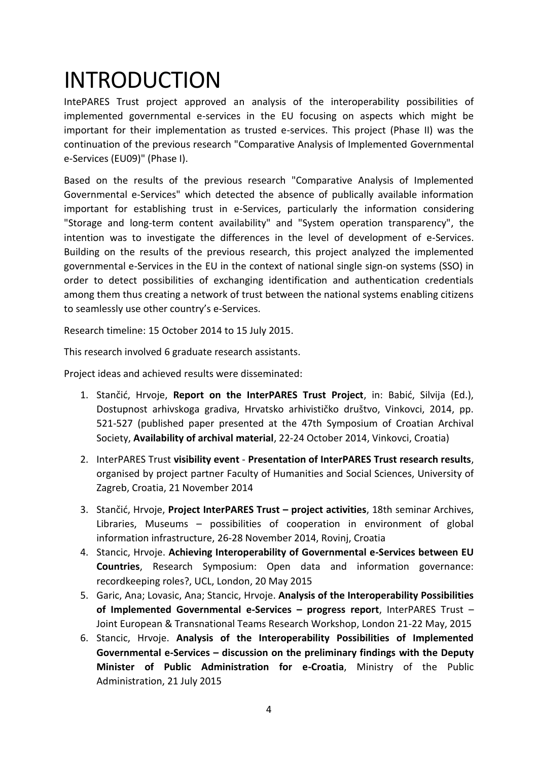### <span id="page-3-0"></span>INTRODUCTION

IntePARES Trust project approved an analysis of the interoperability possibilities of implemented governmental e-services in the EU focusing on aspects which might be important for their implementation as trusted e-services. This project (Phase II) was the continuation of the previous research "Comparative Analysis of Implemented Governmental e-Services (EU09)" (Phase I).

Based on the results of the previous research "Comparative Analysis of Implemented Governmental e-Services" which detected the absence of publically available information important for establishing trust in e-Services, particularly the information considering "Storage and long-term content availability" and "System operation transparency", the intention was to investigate the differences in the level of development of e-Services. Building on the results of the previous research, this project analyzed the implemented governmental e-Services in the EU in the context of national single sign-on systems (SSO) in order to detect possibilities of exchanging identification and authentication credentials among them thus creating a network of trust between the national systems enabling citizens to seamlessly use other country's e-Services.

Research timeline: 15 October 2014 to 15 July 2015.

This research involved 6 graduate research assistants.

Project ideas and achieved results were disseminated:

- 1. Stančić, Hrvoje, **Report on the InterPARES Trust Project**, in: Babić, Silvija (Ed.), Dostupnost arhivskoga gradiva, Hrvatsko arhivističko društvo, Vinkovci, 2014, pp. 521-527 (published paper presented at the 47th Symposium of Croatian Archival Society, **Availability of archival material**, 22-24 October 2014, Vinkovci, Croatia)
- 2. InterPARES Trust **visibility event Presentation of InterPARES Trust research results**, organised by project partner Faculty of Humanities and Social Sciences, University of Zagreb, Croatia, 21 November 2014
- 3. Stančić, Hrvoje, **Project InterPARES Trust – project activities**, 18th seminar Archives, Libraries, Museums – possibilities of cooperation in environment of global information infrastructure, 26-28 November 2014, Rovinj, Croatia
- 4. Stancic, Hrvoje. **Achieving Interoperability of Governmental e-Services between EU Countries**, Research Symposium: Open data and information governance: recordkeeping roles?, UCL, London, 20 May 2015
- 5. Garic, Ana; Lovasic, Ana; Stancic, Hrvoje. **Analysis of the Interoperability Possibilities of Implemented Governmental e-Services – progress report**, InterPARES Trust – Joint European & Transnational Teams Research Workshop, London 21-22 May, 2015
- 6. Stancic, Hrvoje. **Analysis of the Interoperability Possibilities of Implemented Governmental e-Services – discussion on the preliminary findings with the Deputy Minister of Public Administration for e-Croatia**, Ministry of the Public Administration, 21 July 2015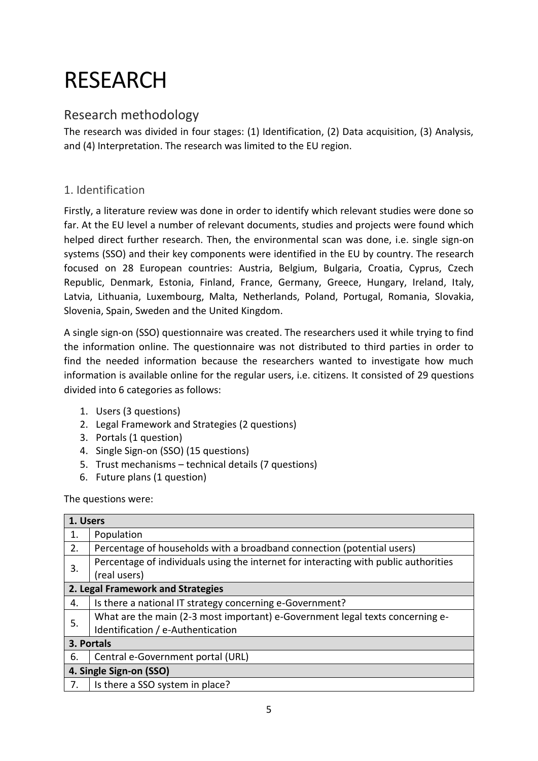# <span id="page-4-0"></span>RESEARCH

### <span id="page-4-1"></span>Research methodology

The research was divided in four stages: (1) Identification, (2) Data acquisition, (3) Analysis, and (4) Interpretation. The research was limited to the EU region.

#### <span id="page-4-2"></span>1. Identification

Firstly, a literature review was done in order to identify which relevant studies were done so far. At the EU level a number of relevant documents, studies and projects were found which helped direct further research. Then, the environmental scan was done, i.e. single sign-on systems (SSO) and their key components were identified in the EU by country. The research focused on 28 European countries: Austria, Belgium, Bulgaria, Croatia, Cyprus, Czech Republic, Denmark, Estonia, Finland, France, Germany, Greece, Hungary, Ireland, Italy, Latvia, Lithuania, Luxembourg, Malta, Netherlands, Poland, Portugal, Romania, Slovakia, Slovenia, Spain, Sweden and the United Kingdom.

A single sign-on (SSO) questionnaire was created. The researchers used it while trying to find the information online. The questionnaire was not distributed to third parties in order to find the needed information because the researchers wanted to investigate how much information is available online for the regular users, i.e. citizens. It consisted of 29 questions divided into 6 categories as follows:

- 1. Users (3 questions)
- 2. Legal Framework and Strategies (2 questions)
- 3. Portals (1 question)
- 4. Single Sign-on (SSO) (15 questions)
- 5. Trust mechanisms technical details (7 questions)
- 6. Future plans (1 question)

The questions were:

|                         | 1. Users                                                                             |  |  |  |  |  |
|-------------------------|--------------------------------------------------------------------------------------|--|--|--|--|--|
| 1.                      | Population                                                                           |  |  |  |  |  |
| 2.                      | Percentage of households with a broadband connection (potential users)               |  |  |  |  |  |
| 3.                      | Percentage of individuals using the internet for interacting with public authorities |  |  |  |  |  |
|                         | (real users)                                                                         |  |  |  |  |  |
|                         | 2. Legal Framework and Strategies                                                    |  |  |  |  |  |
| 4.                      | Is there a national IT strategy concerning e-Government?                             |  |  |  |  |  |
| 5.                      | What are the main (2-3 most important) e-Government legal texts concerning e-        |  |  |  |  |  |
|                         | Identification / e-Authentication                                                    |  |  |  |  |  |
|                         | 3. Portals                                                                           |  |  |  |  |  |
| 6.                      | Central e-Government portal (URL)                                                    |  |  |  |  |  |
| 4. Single Sign-on (SSO) |                                                                                      |  |  |  |  |  |
| 7.                      | Is there a SSO system in place?                                                      |  |  |  |  |  |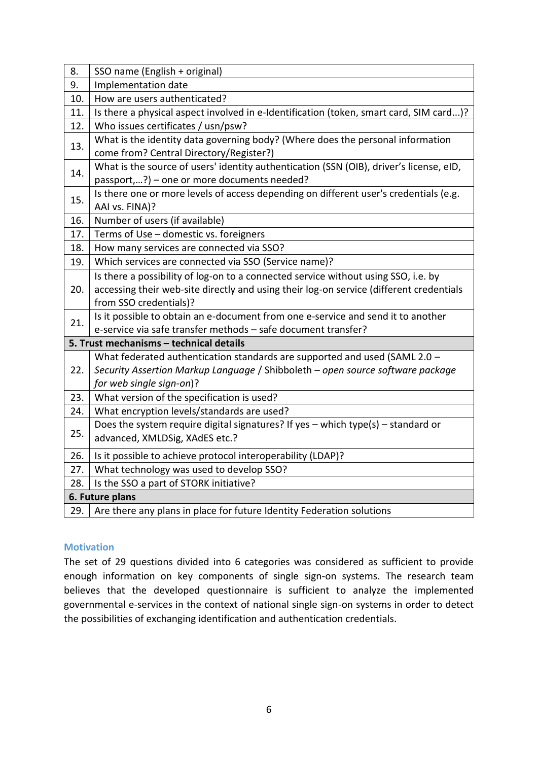| 8.  | SSO name (English + original)                                                                                                                                                                           |
|-----|---------------------------------------------------------------------------------------------------------------------------------------------------------------------------------------------------------|
| 9.  | Implementation date                                                                                                                                                                                     |
| 10. | How are users authenticated?                                                                                                                                                                            |
| 11. | Is there a physical aspect involved in e-Identification (token, smart card, SIM card)?                                                                                                                  |
| 12. | Who issues certificates / usn/psw?                                                                                                                                                                      |
| 13. | What is the identity data governing body? (Where does the personal information<br>come from? Central Directory/Register?)                                                                               |
| 14. | What is the source of users' identity authentication (SSN (OIB), driver's license, eID,<br>passport,?) - one or more documents needed?                                                                  |
| 15. | Is there one or more levels of access depending on different user's credentials (e.g.<br>AAI vs. FINA)?                                                                                                 |
| 16. | Number of users (if available)                                                                                                                                                                          |
| 17. | Terms of Use - domestic vs. foreigners                                                                                                                                                                  |
| 18. | How many services are connected via SSO?                                                                                                                                                                |
| 19. | Which services are connected via SSO (Service name)?                                                                                                                                                    |
| 20. | Is there a possibility of log-on to a connected service without using SSO, i.e. by<br>accessing their web-site directly and using their log-on service (different credentials<br>from SSO credentials)? |
| 21. | Is it possible to obtain an e-document from one e-service and send it to another<br>e-service via safe transfer methods - safe document transfer?                                                       |
|     | 5. Trust mechanisms - technical details                                                                                                                                                                 |
| 22. | What federated authentication standards are supported and used (SAML 2.0 -<br>Security Assertion Markup Language / Shibboleth - open source software package<br>for web single sign-on)?                |
| 23. | What version of the specification is used?                                                                                                                                                              |
| 24. | What encryption levels/standards are used?                                                                                                                                                              |
| 25. | Does the system require digital signatures? If yes - which type(s) - standard or<br>advanced, XMLDSig, XAdES etc.?                                                                                      |
| 26. | Is it possible to achieve protocol interoperability (LDAP)?                                                                                                                                             |
| 27. | What technology was used to develop SSO?                                                                                                                                                                |
| 28. | Is the SSO a part of STORK initiative?                                                                                                                                                                  |
|     | 6. Future plans                                                                                                                                                                                         |
| 29. | Are there any plans in place for future Identity Federation solutions                                                                                                                                   |

#### <span id="page-5-0"></span>**Motivation**

The set of 29 questions divided into 6 categories was considered as sufficient to provide enough information on key components of single sign-on systems. The research team believes that the developed questionnaire is sufficient to analyze the implemented governmental e-services in the context of national single sign-on systems in order to detect the possibilities of exchanging identification and authentication credentials.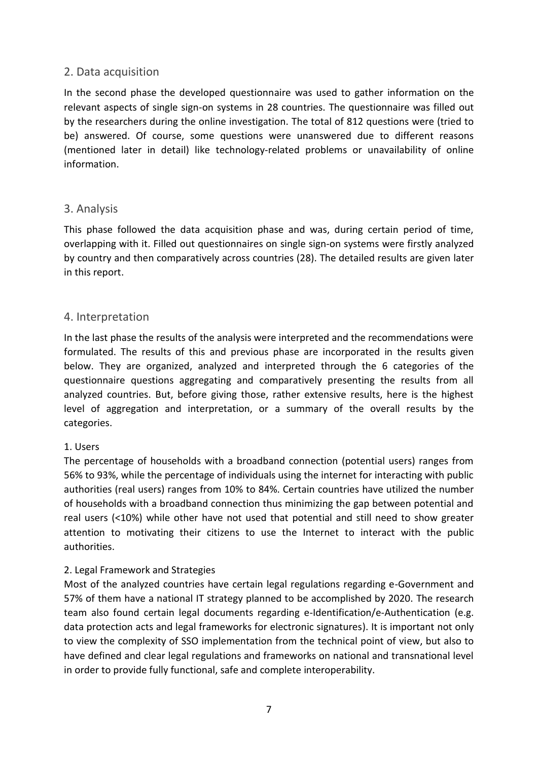#### <span id="page-6-0"></span>2. Data acquisition

In the second phase the developed questionnaire was used to gather information on the relevant aspects of single sign-on systems in 28 countries. The questionnaire was filled out by the researchers during the online investigation. The total of 812 questions were (tried to be) answered. Of course, some questions were unanswered due to different reasons (mentioned later in detail) like technology-related problems or unavailability of online information.

#### <span id="page-6-1"></span>3. Analysis

This phase followed the data acquisition phase and was, during certain period of time, overlapping with it. Filled out questionnaires on single sign-on systems were firstly analyzed by country and then comparatively across countries (28). The detailed results are given later in this report.

#### <span id="page-6-2"></span>4. Interpretation

In the last phase the results of the analysis were interpreted and the recommendations were formulated. The results of this and previous phase are incorporated in the results given below. They are organized, analyzed and interpreted through the 6 categories of the questionnaire questions aggregating and comparatively presenting the results from all analyzed countries. But, before giving those, rather extensive results, here is the highest level of aggregation and interpretation, or a summary of the overall results by the categories.

#### <span id="page-6-3"></span>1. Users

The percentage of households with a broadband connection (potential users) ranges from 56% to 93%, while the percentage of individuals using the internet for interacting with public authorities (real users) ranges from 10% to 84%. Certain countries have utilized the number of households with a broadband connection thus minimizing the gap between potential and real users (<10%) while other have not used that potential and still need to show greater attention to motivating their citizens to use the Internet to interact with the public authorities.

#### <span id="page-6-4"></span>2. Legal Framework and Strategies

Most of the analyzed countries have certain legal regulations regarding e-Government and 57% of them have a national IT strategy planned to be accomplished by 2020. The research team also found certain legal documents regarding e-Identification/e-Authentication (e.g. data protection acts and legal frameworks for electronic signatures). It is important not only to view the complexity of SSO implementation from the technical point of view, but also to have defined and clear legal regulations and frameworks on national and transnational level in order to provide fully functional, safe and complete interoperability.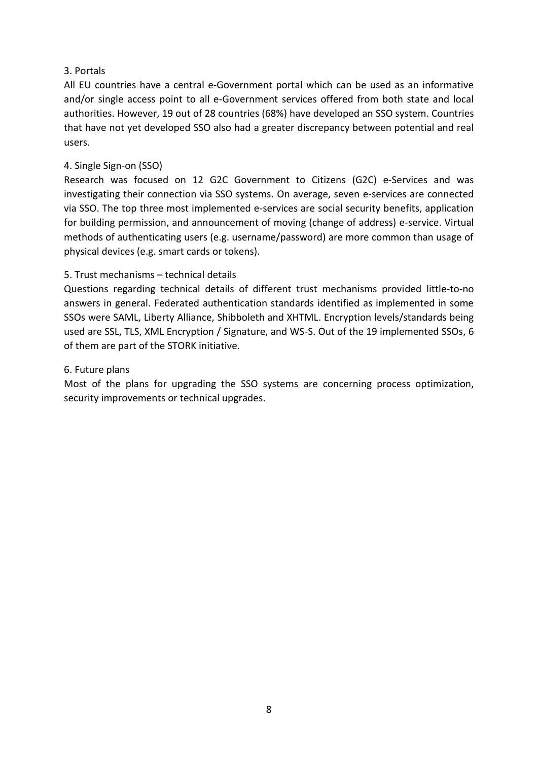#### <span id="page-7-0"></span>3. Portals

All EU countries have a central e-Government portal which can be used as an informative and/or single access point to all e-Government services offered from both state and local authorities. However, 19 out of 28 countries (68%) have developed an SSO system. Countries that have not yet developed SSO also had a greater discrepancy between potential and real users.

#### <span id="page-7-1"></span>4. Single Sign-on (SSO)

Research was focused on 12 G2C Government to Citizens (G2C) e-Services and was investigating their connection via SSO systems. On average, seven e-services are connected via SSO. The top three most implemented e-services are social security benefits, application for building permission, and announcement of moving (change of address) e-service. Virtual methods of authenticating users (e.g. username/password) are more common than usage of physical devices (e.g. smart cards or tokens).

#### <span id="page-7-2"></span>5. Trust mechanisms – technical details

Questions regarding technical details of different trust mechanisms provided little-to-no answers in general. Federated authentication standards identified as implemented in some SSOs were SAML, Liberty Alliance, Shibboleth and XHTML. Encryption levels/standards being used are SSL, TLS, XML Encryption / Signature, and WS-S. Out of the 19 implemented SSOs, 6 of them are part of the STORK initiative.

#### <span id="page-7-3"></span>6. Future plans

Most of the plans for upgrading the SSO systems are concerning process optimization, security improvements or technical upgrades.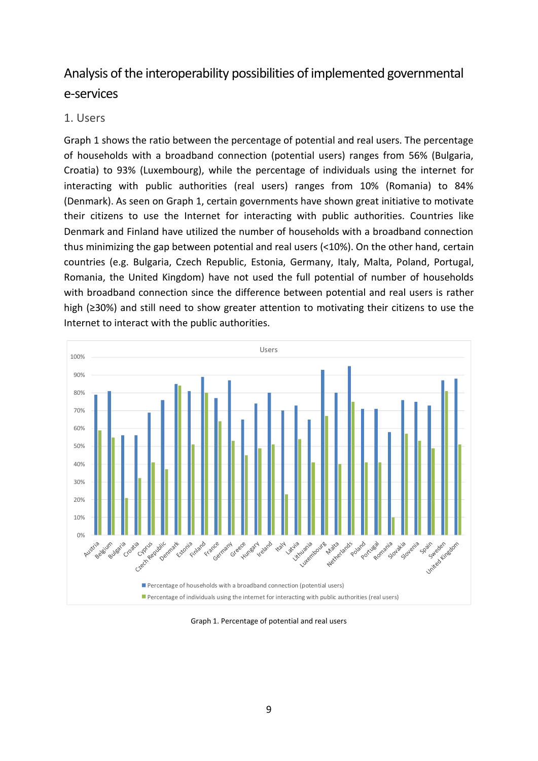### <span id="page-8-0"></span>Analysis of the interoperability possibilities of implemented governmental e-services

#### <span id="page-8-1"></span>1. Users

Graph 1 shows the ratio between the percentage of potential and real users. The percentage of households with a broadband connection (potential users) ranges from 56% (Bulgaria, Croatia) to 93% (Luxembourg), while the percentage of individuals using the internet for interacting with public authorities (real users) ranges from 10% (Romania) to 84% (Denmark). As seen on Graph 1, certain governments have shown great initiative to motivate their citizens to use the Internet for interacting with public authorities. Countries like Denmark and Finland have utilized the number of households with a broadband connection thus minimizing the gap between potential and real users (<10%). On the other hand, certain countries (e.g. Bulgaria, Czech Republic, Estonia, Germany, Italy, Malta, Poland, Portugal, Romania, the United Kingdom) have not used the full potential of number of households with broadband connection since the difference between potential and real users is rather high (≥30%) and still need to show greater attention to motivating their citizens to use the Internet to interact with the public authorities.



<span id="page-8-2"></span>Graph 1. Percentage of potential and real users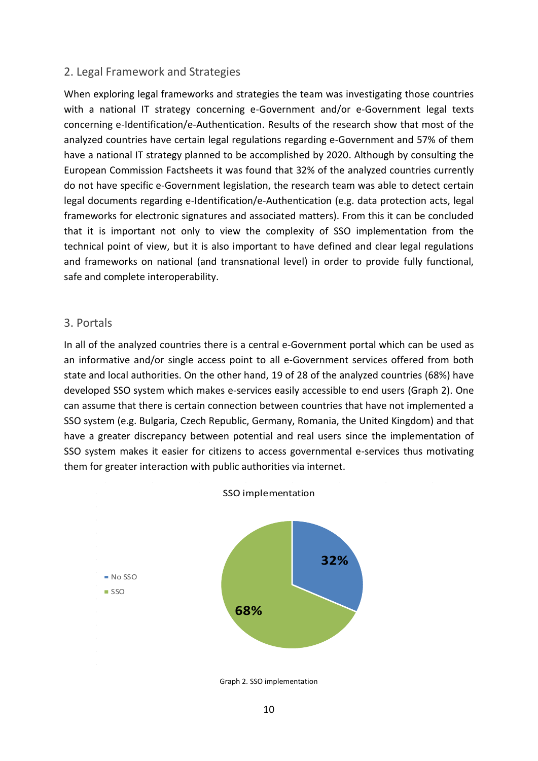#### <span id="page-9-0"></span>2. Legal Framework and Strategies

When exploring legal frameworks and strategies the team was investigating those countries with a national IT strategy concerning e-Government and/or e-Government legal texts concerning e-Identification/e-Authentication. Results of the research show that most of the analyzed countries have certain legal regulations regarding e-Government and 57% of them have a national IT strategy planned to be accomplished by 2020. Although by consulting the European Commission Factsheets it was found that 32% of the analyzed countries currently do not have specific e-Government legislation, the research team was able to detect certain legal documents regarding e-Identification/e-Authentication (e.g. data protection acts, legal frameworks for electronic signatures and associated matters). From this it can be concluded that it is important not only to view the complexity of SSO implementation from the technical point of view, but it is also important to have defined and clear legal regulations and frameworks on national (and transnational level) in order to provide fully functional, safe and complete interoperability.

#### <span id="page-9-1"></span>3. Portals

In all of the analyzed countries there is a central e-Government portal which can be used as an informative and/or single access point to all e-Government services offered from both state and local authorities. On the other hand, 19 of 28 of the analyzed countries (68%) have developed SSO system which makes e-services easily accessible to end users (Graph 2). One can assume that there is certain connection between countries that have not implemented a SSO system (e.g. Bulgaria, Czech Republic, Germany, Romania, the United Kingdom) and that have a greater discrepancy between potential and real users since the implementation of SSO system makes it easier for citizens to access governmental e-services thus motivating them for greater interaction with public authorities via internet.



<span id="page-9-2"></span>Graph 2. SSO implementation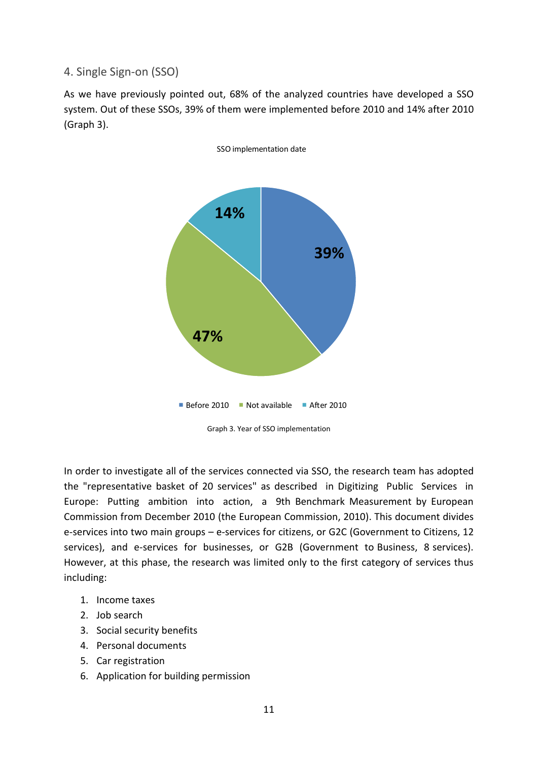<span id="page-10-0"></span>4. Single Sign-on (SSO)

As we have previously pointed out, 68% of the analyzed countries have developed a SSO system. Out of these SSOs, 39% of them were implemented before 2010 and 14% after 2010 (Graph 3).



<span id="page-10-1"></span>In order to investigate all of the services connected via SSO, the research team has adopted the "representative basket of 20 services" as described in Digitizing Public Services in Europe: Putting ambition into action, a 9th Benchmark Measurement by European Commission from December 2010 (the European Commission, 2010). This document divides e-services into two main groups – e-services for citizens, or G2C (Government to Citizens, 12 services), and e-services for businesses, or G2B (Government to Business, 8 services). However, at this phase, the research was limited only to the first category of services thus including:

- 1. Income taxes
- 2. Job search
- 3. Social security benefits
- 4. Personal documents
- 5. Car registration
- 6. Application for building permission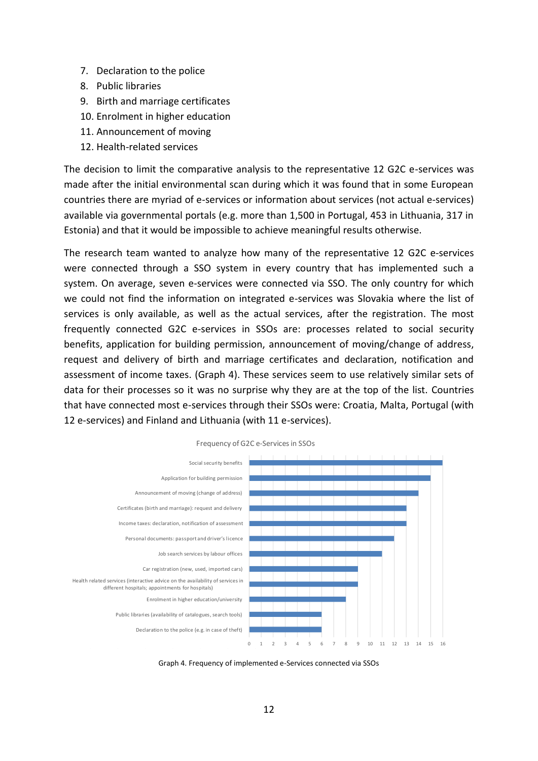- 7. Declaration to the police
- 8. Public libraries
- 9. Birth and marriage certificates
- 10. Enrolment in higher education
- 11. Announcement of moving
- 12. Health-related services

The decision to limit the comparative analysis to the representative 12 G2C e-services was made after the initial environmental scan during which it was found that in some European countries there are myriad of e-services or information about services (not actual e-services) available via governmental portals (e.g. more than 1,500 in Portugal, 453 in Lithuania, 317 in Estonia) and that it would be impossible to achieve meaningful results otherwise.

The research team wanted to analyze how many of the representative 12 G2C e-services were connected through a SSO system in every country that has implemented such a system. On average, seven e-services were connected via SSO. The only country for which we could not find the information on integrated e-services was Slovakia where the list of services is only available, as well as the actual services, after the registration. The most frequently connected G2C e-services in SSOs are: processes related to social security benefits, application for building permission, announcement of moving/change of address, request and delivery of birth and marriage certificates and declaration, notification and assessment of income taxes. (Graph 4). These services seem to use relatively similar sets of data for their processes so it was no surprise why they are at the top of the list. Countries 1 that have connected most e-services through their SSOs were: Croatia, Malta, Portugal (with 12 e-services) and Finland and Lithuania (with 11 e-services). 3 C





<span id="page-11-0"></span>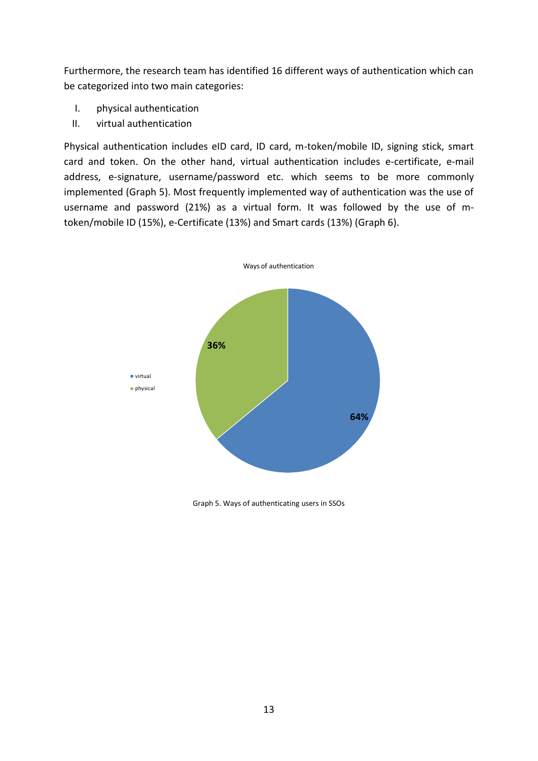Furthermore, the research team has identified 16 different ways of authentication which can be categorized into two main categories:

- I. physical authentication
- II. virtual authentication

Physical authentication includes eID card, ID card, m-token/mobile ID, signing stick, smart card and token. On the other hand, virtual authentication includes e-certificate, e-mail address, e-signature, username/password etc. which seems to be more commonly implemented (Graph 5). Most frequently implemented way of authentication was the use of username and password (21%) as a virtual form. It was followed by the use of mtoken/mobile ID (15%), e-Certificate (13%) and Smart cards (13%) (Graph 6).



<span id="page-12-0"></span>Graph 5. Ways of authenticating users in SSOs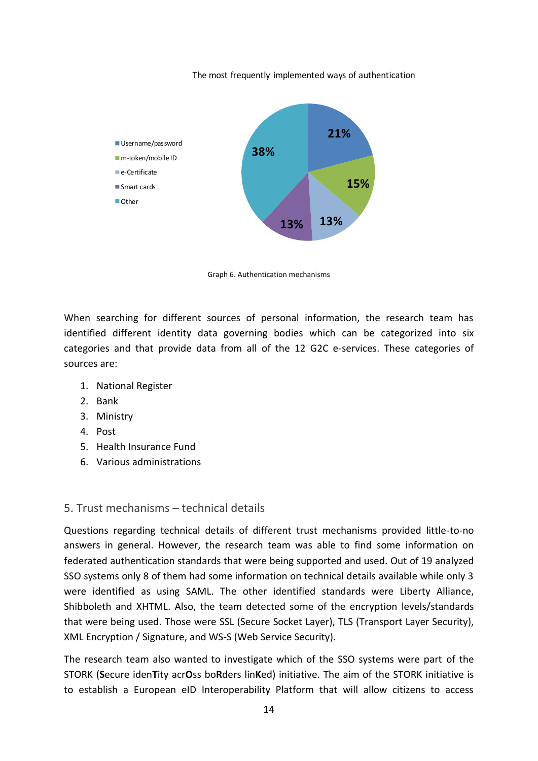The most frequently implemented ways of authentication



Graph 6. Authentication mechanisms

<span id="page-13-1"></span>When searching for different sources of personal information, the research team has identified different identity data governing bodies which can be categorized into six categories and that provide data from all of the 12 G2C e-services. These categories of sources are:

- 1. National Register
- 2. Bank
- 3. Ministry
- 4. Post
- 5. Health Insurance Fund
- 6. Various administrations

#### <span id="page-13-0"></span>5. Trust mechanisms – technical details

Questions regarding technical details of different trust mechanisms provided little-to-no answers in general. However, the research team was able to find some information on federated authentication standards that were being supported and used. Out of 19 analyzed SSO systems only 8 of them had some information on technical details available while only 3 were identified as using SAML. The other identified standards were Liberty Alliance, Shibboleth and XHTML. Also, the team detected some of the encryption levels/standards that were being used. Those were SSL (Secure Socket Layer), TLS (Transport Layer Security), XML Encryption / Signature, and WS-S (Web Service Security).

The research team also wanted to investigate which of the SSO systems were part of the STORK (**S**ecure iden**T**ity acr**O**ss bo**R**ders lin**K**ed) initiative. The aim of the STORK initiative is to establish a European eID Interoperability Platform that will allow citizens to access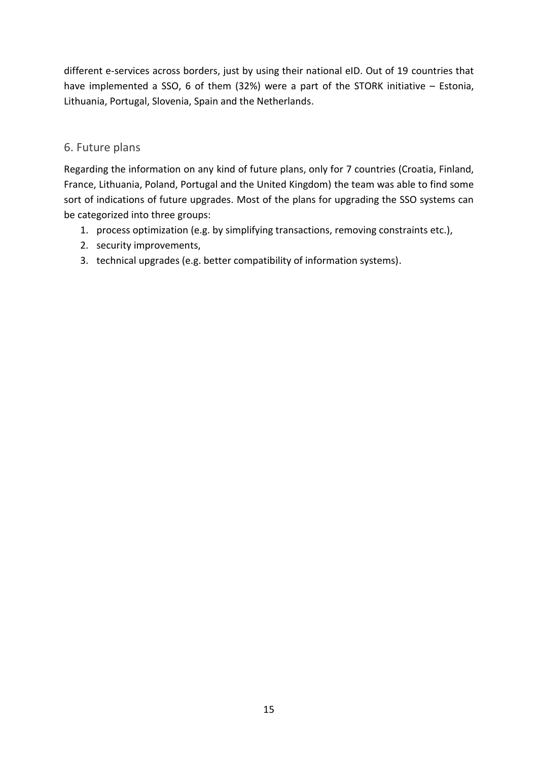different e-services across borders, just by using their national eID. Out of 19 countries that have implemented a SSO, 6 of them (32%) were a part of the STORK initiative – Estonia, Lithuania, Portugal, Slovenia, Spain and the Netherlands.

#### <span id="page-14-0"></span>6. Future plans

Regarding the information on any kind of future plans, only for 7 countries (Croatia, Finland, France, Lithuania, Poland, Portugal and the United Kingdom) the team was able to find some sort of indications of future upgrades. Most of the plans for upgrading the SSO systems can be categorized into three groups:

- 1. process optimization (e.g. by simplifying transactions, removing constraints etc.),
- 2. security improvements,
- 3. technical upgrades (e.g. better compatibility of information systems).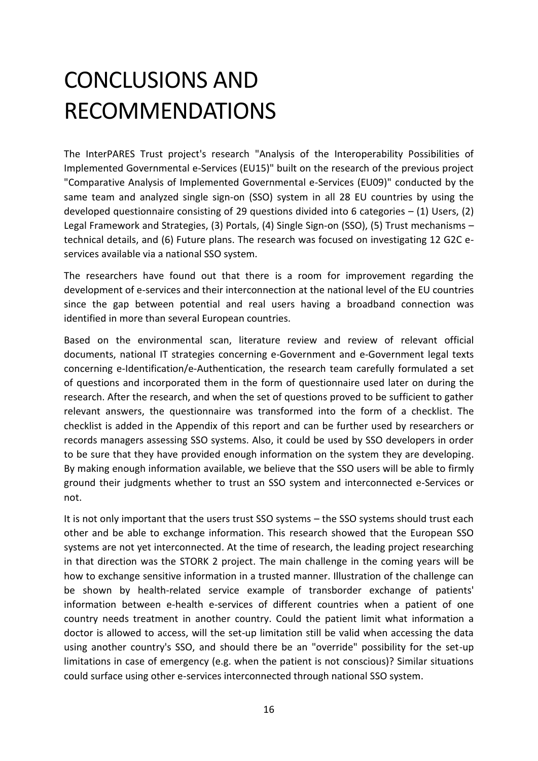## <span id="page-15-0"></span>CONCLUSIONS AND RECOMMENDATIONS

The InterPARES Trust project's research "Analysis of the Interoperability Possibilities of Implemented Governmental e-Services (EU15)" built on the research of the previous project "Comparative Analysis of Implemented Governmental e-Services (EU09)" conducted by the same team and analyzed single sign-on (SSO) system in all 28 EU countries by using the developed questionnaire consisting of 29 questions divided into 6 categories – (1) Users, (2) Legal Framework and Strategies, (3) Portals, (4) Single Sign-on (SSO), (5) Trust mechanisms – technical details, and (6) Future plans. The research was focused on investigating 12 G2C eservices available via a national SSO system.

The researchers have found out that there is a room for improvement regarding the development of e-services and their interconnection at the national level of the EU countries since the gap between potential and real users having a broadband connection was identified in more than several European countries.

Based on the environmental scan, literature review and review of relevant official documents, national IT strategies concerning e-Government and e-Government legal texts concerning e-Identification/e-Authentication, the research team carefully formulated a set of questions and incorporated them in the form of questionnaire used later on during the research. After the research, and when the set of questions proved to be sufficient to gather relevant answers, the questionnaire was transformed into the form of a checklist. The checklist is added in the Appendix of this report and can be further used by researchers or records managers assessing SSO systems. Also, it could be used by SSO developers in order to be sure that they have provided enough information on the system they are developing. By making enough information available, we believe that the SSO users will be able to firmly ground their judgments whether to trust an SSO system and interconnected e-Services or not.

It is not only important that the users trust SSO systems – the SSO systems should trust each other and be able to exchange information. This research showed that the European SSO systems are not yet interconnected. At the time of research, the leading project researching in that direction was the STORK 2 project. The main challenge in the coming years will be how to exchange sensitive information in a trusted manner. Illustration of the challenge can be shown by health-related service example of transborder exchange of patients' information between e-health e-services of different countries when a patient of one country needs treatment in another country. Could the patient limit what information a doctor is allowed to access, will the set-up limitation still be valid when accessing the data using another country's SSO, and should there be an "override" possibility for the set-up limitations in case of emergency (e.g. when the patient is not conscious)? Similar situations could surface using other e-services interconnected through national SSO system.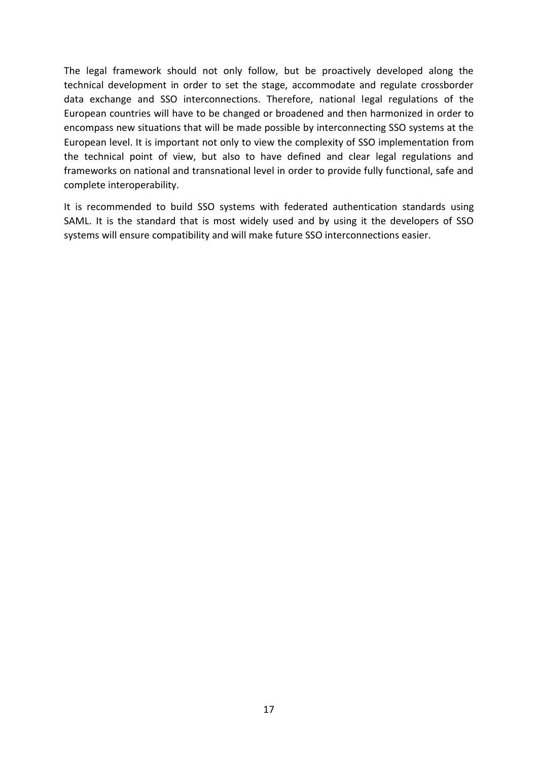The legal framework should not only follow, but be proactively developed along the technical development in order to set the stage, accommodate and regulate crossborder data exchange and SSO interconnections. Therefore, national legal regulations of the European countries will have to be changed or broadened and then harmonized in order to encompass new situations that will be made possible by interconnecting SSO systems at the European level. It is important not only to view the complexity of SSO implementation from the technical point of view, but also to have defined and clear legal regulations and frameworks on national and transnational level in order to provide fully functional, safe and complete interoperability.

It is recommended to build SSO systems with federated authentication standards using SAML. It is the standard that is most widely used and by using it the developers of SSO systems will ensure compatibility and will make future SSO interconnections easier.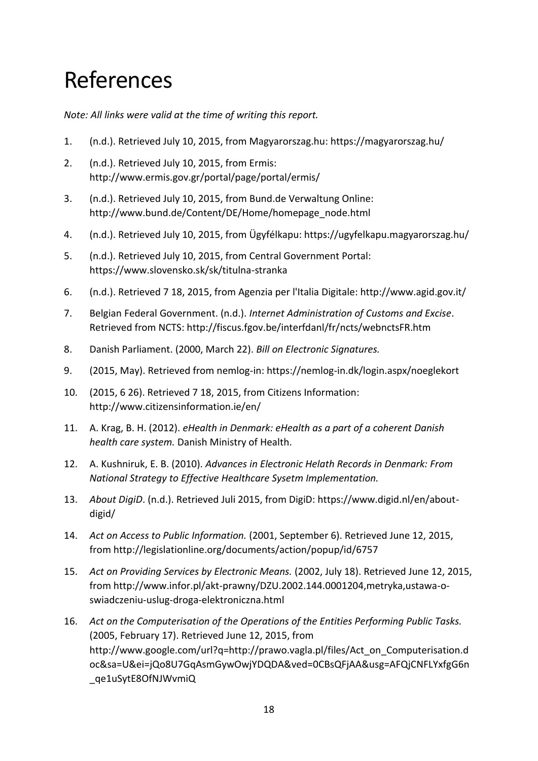### <span id="page-17-0"></span>References

*Note: All links were valid at the time of writing this report.*

- 1. (n.d.). Retrieved July 10, 2015, from Magyarorszag.hu: https://magyarorszag.hu/
- 2. (n.d.). Retrieved July 10, 2015, from Ermis: http://www.ermis.gov.gr/portal/page/portal/ermis/
- 3. (n.d.). Retrieved July 10, 2015, from Bund.de Verwaltung Online: http://www.bund.de/Content/DE/Home/homepage\_node.html
- 4. (n.d.). Retrieved July 10, 2015, from Ügyfélkapu: https://ugyfelkapu.magyarorszag.hu/
- 5. (n.d.). Retrieved July 10, 2015, from Central Government Portal: https://www.slovensko.sk/sk/titulna-stranka
- 6. (n.d.). Retrieved 7 18, 2015, from Agenzia per l'Italia Digitale: http://www.agid.gov.it/
- 7. Belgian Federal Government. (n.d.). *Internet Administration of Customs and Excise*. Retrieved from NCTS: http://fiscus.fgov.be/interfdanl/fr/ncts/webnctsFR.htm
- 8. Danish Parliament. (2000, March 22). *Bill on Electronic Signatures.*
- 9. (2015, May). Retrieved from nemlog-in: https://nemlog-in.dk/login.aspx/noeglekort
- 10. (2015, 6 26). Retrieved 7 18, 2015, from Citizens Information: http://www.citizensinformation.ie/en/
- 11. A. Krag, B. H. (2012). *eHealth in Denmark: eHealth as a part of a coherent Danish health care system.* Danish Ministry of Health.
- 12. A. Kushniruk, E. B. (2010). *Advances in Electronic Helath Records in Denmark: From National Strategy to Effective Healthcare Sysetm Implementation.*
- 13. *About DigiD*. (n.d.). Retrieved Juli 2015, from DigiD: https://www.digid.nl/en/aboutdigid/
- 14. *Act on Access to Public Information.* (2001, September 6). Retrieved June 12, 2015, from http://legislationline.org/documents/action/popup/id/6757
- 15. *Act on Providing Services by Electronic Means.* (2002, July 18). Retrieved June 12, 2015, from http://www.infor.pl/akt-prawny/DZU.2002.144.0001204,metryka,ustawa-oswiadczeniu-uslug-droga-elektroniczna.html
- 16. *Act on the Computerisation of the Operations of the Entities Performing Public Tasks.* (2005, February 17). Retrieved June 12, 2015, from http://www.google.com/url?q=http://prawo.vagla.pl/files/Act\_on\_Computerisation.d oc&sa=U&ei=jQo8U7GqAsmGywOwjYDQDA&ved=0CBsQFjAA&usg=AFQjCNFLYxfgG6n \_qe1uSytE8OfNJWvmiQ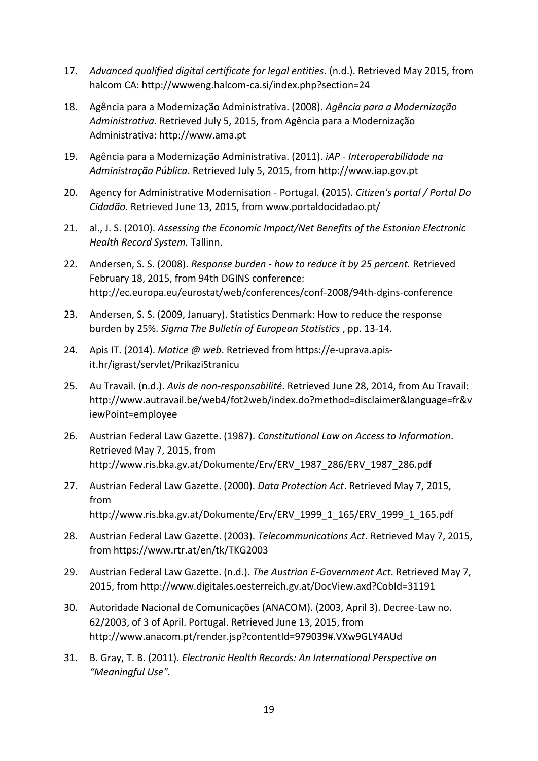- 17. *Advanced qualified digital certificate for legal entities*. (n.d.). Retrieved May 2015, from halcom CA: http://wwweng.halcom-ca.si/index.php?section=24
- 18. Agência para a Modernização Administrativa. (2008). *Agência para a Modernização Administrativa*. Retrieved July 5, 2015, from Agência para a Modernização Administrativa: http://www.ama.pt
- 19. Agência para a Modernização Administrativa. (2011). *iAP - Interoperabilidade na Administração Pública*. Retrieved July 5, 2015, from http://www.iap.gov.pt
- 20. Agency for Administrative Modernisation Portugal. (2015). *Citizen's portal / Portal Do Cidadão*. Retrieved June 13, 2015, from www.portaldocidadao.pt/
- 21. al., J. S. (2010). *Assessing the Economic Impact/Net Benefits of the Estonian Electronic Health Record System.* Tallinn.
- 22. Andersen, S. S. (2008). *Response burden - how to reduce it by 25 percent.* Retrieved February 18, 2015, from 94th DGINS conference: http://ec.europa.eu/eurostat/web/conferences/conf-2008/94th-dgins-conference
- 23. Andersen, S. S. (2009, January). Statistics Denmark: How to reduce the response burden by 25%. *Sigma The Bulletin of European Statistics* , pp. 13-14.
- 24. Apis IT. (2014). *Matice @ web*. Retrieved from https://e-uprava.apisit.hr/igrast/servlet/PrikaziStranicu
- 25. Au Travail. (n.d.). *Avis de non-responsabilité*. Retrieved June 28, 2014, from Au Travail: http://www.autravail.be/web4/fot2web/index.do?method=disclaimer&language=fr&v iewPoint=employee
- 26. Austrian Federal Law Gazette. (1987). *Constitutional Law on Access to Information*. Retrieved May 7, 2015, from http://www.ris.bka.gv.at/Dokumente/Erv/ERV\_1987\_286/ERV\_1987\_286.pdf
- 27. Austrian Federal Law Gazette. (2000). *Data Protection Act*. Retrieved May 7, 2015, from http://www.ris.bka.gv.at/Dokumente/Erv/ERV\_1999\_1\_165/ERV\_1999\_1\_165.pdf
- 28. Austrian Federal Law Gazette. (2003). *Telecommunications Act*. Retrieved May 7, 2015, from https://www.rtr.at/en/tk/TKG2003
- 29. Austrian Federal Law Gazette. (n.d.). *The Austrian E-Government Act*. Retrieved May 7, 2015, from http://www.digitales.oesterreich.gv.at/DocView.axd?CobId=31191
- 30. Autoridade Nacional de Comunicações (ANACOM). (2003, April 3). Decree-Law no. 62/2003, of 3 of April. Portugal. Retrieved June 13, 2015, from http://www.anacom.pt/render.jsp?contentId=979039#.VXw9GLY4AUd
- 31. B. Gray, T. B. (2011). *Electronic Health Records: An International Perspective on "Meaningful Use".*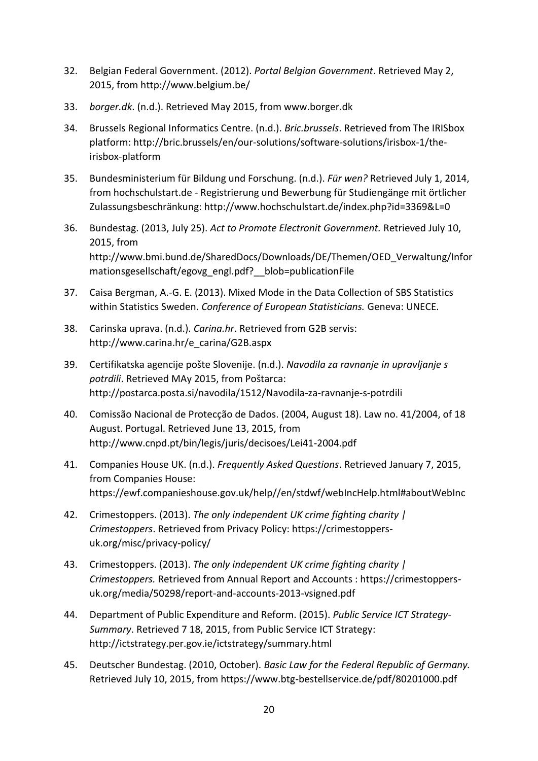- 32. Belgian Federal Government. (2012). *Portal Belgian Government*. Retrieved May 2, 2015, from http://www.belgium.be/
- 33. *borger.dk*. (n.d.). Retrieved May 2015, from www.borger.dk
- 34. Brussels Regional Informatics Centre. (n.d.). *Bric.brussels*. Retrieved from The IRISbox platform: http://bric.brussels/en/our-solutions/software-solutions/irisbox-1/theirisbox-platform
- 35. Bundesministerium für Bildung und Forschung. (n.d.). *Für wen?* Retrieved July 1, 2014, from hochschulstart.de - Registrierung und Bewerbung für Studiengänge mit örtlicher Zulassungsbeschränkung: http://www.hochschulstart.de/index.php?id=3369&L=0
- 36. Bundestag. (2013, July 25). *Act to Promote Electronit Government.* Retrieved July 10, 2015, from http://www.bmi.bund.de/SharedDocs/Downloads/DE/Themen/OED\_Verwaltung/Infor mationsgesellschaft/egovg\_engl.pdf?\_\_blob=publicationFile
- 37. Caisa Bergman, A.-G. E. (2013). Mixed Mode in the Data Collection of SBS Statistics within Statistics Sweden. *Conference of European Statisticians.* Geneva: UNECE.
- 38. Carinska uprava. (n.d.). *Carina.hr*. Retrieved from G2B servis: http://www.carina.hr/e\_carina/G2B.aspx
- 39. Certifikatska agencije pošte Slovenije. (n.d.). *Navodila za ravnanje in upravljanje s potrdili*. Retrieved MAy 2015, from Poštarca: http://postarca.posta.si/navodila/1512/Navodila-za-ravnanje-s-potrdili
- 40. Comissão Nacional de Protecção de Dados. (2004, August 18). Law no. 41/2004, of 18 August. Portugal. Retrieved June 13, 2015, from http://www.cnpd.pt/bin/legis/juris/decisoes/Lei41-2004.pdf
- 41. Companies House UK. (n.d.). *Frequently Asked Questions*. Retrieved January 7, 2015, from Companies House: https://ewf.companieshouse.gov.uk/help//en/stdwf/webIncHelp.html#aboutWebInc
- 42. Crimestoppers. (2013). *The only independent UK crime fighting charity | Crimestoppers*. Retrieved from Privacy Policy: https://crimestoppersuk.org/misc/privacy-policy/
- 43. Crimestoppers. (2013). *The only independent UK crime fighting charity | Crimestoppers.* Retrieved from Annual Report and Accounts : https://crimestoppersuk.org/media/50298/report-and-accounts-2013-vsigned.pdf
- 44. Department of Public Expenditure and Reform. (2015). *Public Service ICT Strategy-Summary*. Retrieved 7 18, 2015, from Public Service ICT Strategy: http://ictstrategy.per.gov.ie/ictstrategy/summary.html
- 45. Deutscher Bundestag. (2010, October). *Basic Law for the Federal Republic of Germany.* Retrieved July 10, 2015, from https://www.btg-bestellservice.de/pdf/80201000.pdf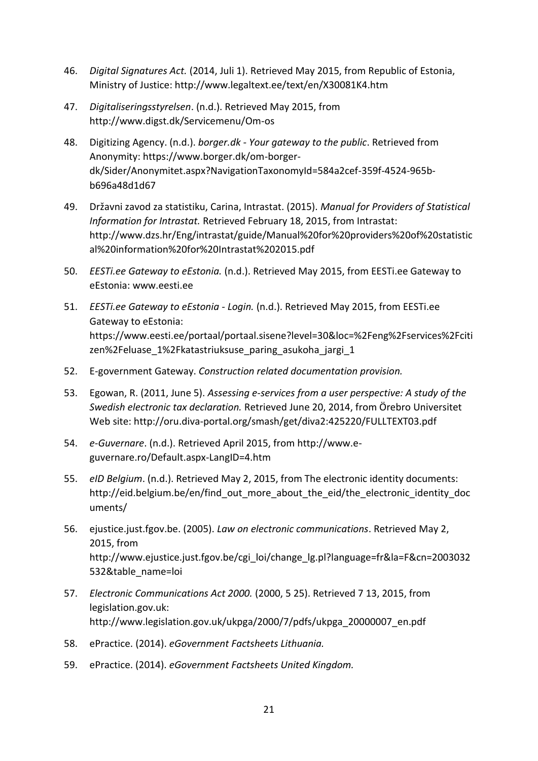- 46. *Digital Signatures Act.* (2014, Juli 1). Retrieved May 2015, from Republic of Estonia, Ministry of Justice: http://www.legaltext.ee/text/en/X30081K4.htm
- 47. *Digitaliseringsstyrelsen*. (n.d.). Retrieved May 2015, from http://www.digst.dk/Servicemenu/Om-os
- 48. Digitizing Agency. (n.d.). *borger.dk - Your gateway to the public*. Retrieved from Anonymity: https://www.borger.dk/om-borgerdk/Sider/Anonymitet.aspx?NavigationTaxonomyId=584a2cef-359f-4524-965bb696a48d1d67
- 49. Državni zavod za statistiku, Carina, Intrastat. (2015). *Manual for Providers of Statistical Information for Intrastat.* Retrieved February 18, 2015, from Intrastat: http://www.dzs.hr/Eng/intrastat/guide/Manual%20for%20providers%20of%20statistic al%20information%20for%20Intrastat%202015.pdf
- 50. *EESTi.ee Gateway to eEstonia.* (n.d.). Retrieved May 2015, from EESTi.ee Gateway to eEstonia: www.eesti.ee
- 51. *EESTi.ee Gateway to eEstonia - Login.* (n.d.). Retrieved May 2015, from EESTi.ee Gateway to eEstonia: https://www.eesti.ee/portaal/portaal.sisene?level=30&loc=%2Feng%2Fservices%2Fciti zen%2Feluase\_1%2Fkatastriuksuse\_paring\_asukoha\_jargi\_1
- 52. E-government Gateway. *Construction related documentation provision.*
- 53. Egowan, R. (2011, June 5). *Assessing e-services from a user perspective: A study of the Swedish electronic tax declaration.* Retrieved June 20, 2014, from Örebro Universitet Web site: http://oru.diva-portal.org/smash/get/diva2:425220/FULLTEXT03.pdf
- 54. *e-Guvernare*. (n.d.). Retrieved April 2015, from http://www.eguvernare.ro/Default.aspx-LangID=4.htm
- 55. *eID Belgium*. (n.d.). Retrieved May 2, 2015, from The electronic identity documents: http://eid.belgium.be/en/find\_out\_more\_about\_the\_eid/the\_electronic\_identity\_doc uments/
- 56. ejustice.just.fgov.be. (2005). *Law on electronic communications*. Retrieved May 2, 2015, from http://www.ejustice.just.fgov.be/cgi\_loi/change\_lg.pl?language=fr&la=F&cn=2003032 532&table\_name=loi
- 57. *Electronic Communications Act 2000.* (2000, 5 25). Retrieved 7 13, 2015, from legislation.gov.uk: http://www.legislation.gov.uk/ukpga/2000/7/pdfs/ukpga\_20000007\_en.pdf
- 58. ePractice. (2014). *eGovernment Factsheets Lithuania.*
- 59. ePractice. (2014). *eGovernment Factsheets United Kingdom.*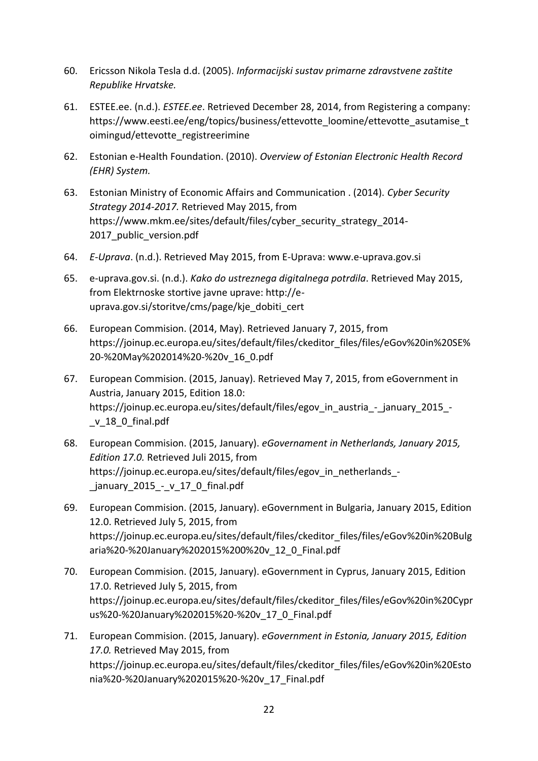- 60. Ericsson Nikola Tesla d.d. (2005). *Informacijski sustav primarne zdravstvene zaštite Republike Hrvatske.*
- 61. ESTEE.ee. (n.d.). *ESTEE.ee*. Retrieved December 28, 2014, from Registering a company: https://www.eesti.ee/eng/topics/business/ettevotte\_loomine/ettevotte\_asutamise\_t oimingud/ettevotte\_registreerimine
- 62. Estonian e-Health Foundation. (2010). *Overview of Estonian Electronic Health Record (EHR) System.*
- 63. Estonian Ministry of Economic Affairs and Communication . (2014). *Cyber Security Strategy 2014-2017.* Retrieved May 2015, from https://www.mkm.ee/sites/default/files/cyber\_security\_strategy\_2014- 2017 public version.pdf
- 64. *E-Uprava*. (n.d.). Retrieved May 2015, from E-Uprava: www.e-uprava.gov.si
- 65. e-uprava.gov.si. (n.d.). *Kako do ustreznega digitalnega potrdila*. Retrieved May 2015, from Elektrnoske stortive javne uprave: http://euprava.gov.si/storitve/cms/page/kje\_dobiti\_cert
- 66. European Commision. (2014, May). Retrieved January 7, 2015, from https://joinup.ec.europa.eu/sites/default/files/ckeditor\_files/files/eGov%20in%20SE% 20-%20May%202014%20-%20v\_16\_0.pdf
- 67. European Commision. (2015, Januay). Retrieved May 7, 2015, from eGovernment in Austria, January 2015, Edition 18.0: https://joinup.ec.europa.eu/sites/default/files/egov in austria - january 2015 -\_v\_18\_0\_final.pdf
- 68. European Commision. (2015, January). *eGovernament in Netherlands, January 2015, Edition 17.0.* Retrieved Juli 2015, from https://joinup.ec.europa.eu/sites/default/files/egov in netherlands january 2015 - v 17 0 final.pdf
- 69. European Commision. (2015, January). eGovernment in Bulgaria, January 2015, Edition 12.0. Retrieved July 5, 2015, from https://joinup.ec.europa.eu/sites/default/files/ckeditor\_files/files/eGov%20in%20Bulg aria%20-%20January%202015%200%20v\_12\_0\_Final.pdf
- 70. European Commision. (2015, January). eGovernment in Cyprus, January 2015, Edition 17.0. Retrieved July 5, 2015, from https://joinup.ec.europa.eu/sites/default/files/ckeditor\_files/files/eGov%20in%20Cypr us%20-%20January%202015%20-%20v\_17\_0\_Final.pdf
- 71. European Commision. (2015, January). *eGovernment in Estonia, January 2015, Edition 17.0.* Retrieved May 2015, from https://joinup.ec.europa.eu/sites/default/files/ckeditor\_files/files/eGov%20in%20Esto nia%20-%20January%202015%20-%20v\_17\_Final.pdf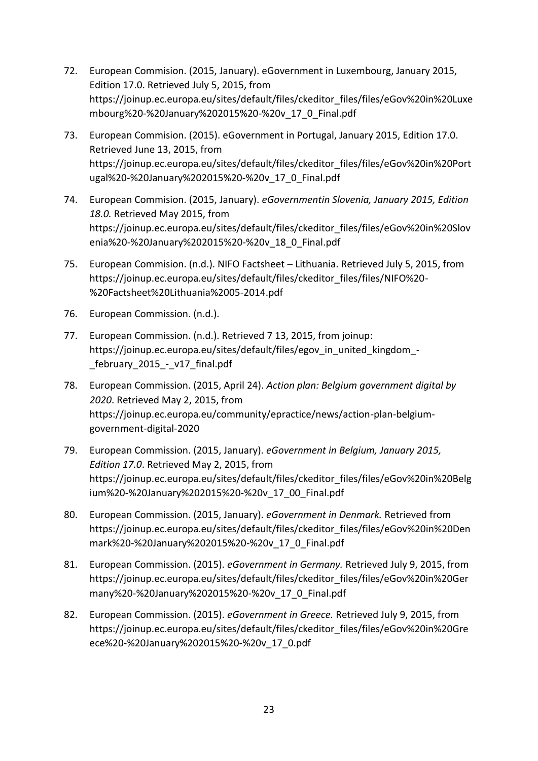- 72. European Commision. (2015, January). eGovernment in Luxembourg, January 2015, Edition 17.0. Retrieved July 5, 2015, from https://joinup.ec.europa.eu/sites/default/files/ckeditor\_files/files/eGov%20in%20Luxe mbourg%20-%20January%202015%20-%20v\_17\_0\_Final.pdf
- 73. European Commision. (2015). eGovernment in Portugal, January 2015, Edition 17.0. Retrieved June 13, 2015, from https://joinup.ec.europa.eu/sites/default/files/ckeditor\_files/files/eGov%20in%20Port ugal%20-%20January%202015%20-%20v\_17\_0\_Final.pdf
- 74. European Commision. (2015, January). *eGovernmentin Slovenia, January 2015, Edition 18.0.* Retrieved May 2015, from https://joinup.ec.europa.eu/sites/default/files/ckeditor\_files/files/eGov%20in%20Slov enia%20-%20January%202015%20-%20v\_18\_0\_Final.pdf
- 75. European Commision. (n.d.). NIFO Factsheet Lithuania. Retrieved July 5, 2015, from https://joinup.ec.europa.eu/sites/default/files/ckeditor\_files/files/NIFO%20- %20Factsheet%20Lithuania%2005-2014.pdf
- 76. European Commission. (n.d.).
- 77. European Commission. (n.d.). Retrieved 7 13, 2015, from joinup: https://joinup.ec.europa.eu/sites/default/files/egov in united kingdom -\_february\_2015\_-\_v17\_final.pdf
- 78. European Commission. (2015, April 24). *Action plan: Belgium government digital by 2020*. Retrieved May 2, 2015, from https://joinup.ec.europa.eu/community/epractice/news/action-plan-belgiumgovernment-digital-2020
- 79. European Commission. (2015, January). *eGovernment in Belgium, January 2015, Edition 17.0*. Retrieved May 2, 2015, from https://joinup.ec.europa.eu/sites/default/files/ckeditor\_files/files/eGov%20in%20Belg ium%20-%20January%202015%20-%20v\_17\_00\_Final.pdf
- 80. European Commission. (2015, January). *eGovernment in Denmark.* Retrieved from https://joinup.ec.europa.eu/sites/default/files/ckeditor\_files/files/eGov%20in%20Den mark%20-%20January%202015%20-%20v\_17\_0\_Final.pdf
- 81. European Commission. (2015). *eGovernment in Germany.* Retrieved July 9, 2015, from https://joinup.ec.europa.eu/sites/default/files/ckeditor\_files/files/eGov%20in%20Ger many%20-%20January%202015%20-%20v\_17\_0\_Final.pdf
- 82. European Commission. (2015). *eGovernment in Greece.* Retrieved July 9, 2015, from https://joinup.ec.europa.eu/sites/default/files/ckeditor\_files/files/eGov%20in%20Gre ece%20-%20January%202015%20-%20v\_17\_0.pdf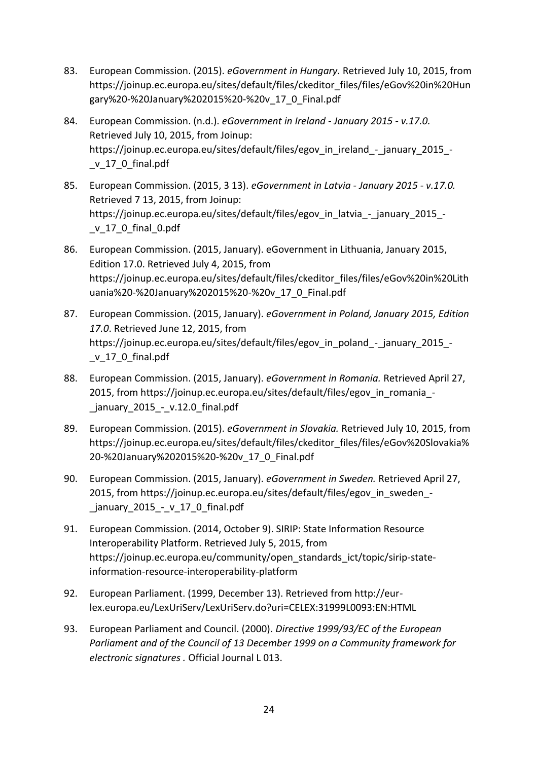- 83. European Commission. (2015). *eGovernment in Hungary.* Retrieved July 10, 2015, from https://joinup.ec.europa.eu/sites/default/files/ckeditor\_files/files/eGov%20in%20Hun gary%20-%20January%202015%20-%20v\_17\_0\_Final.pdf
- 84. European Commission. (n.d.). *eGovernment in Ireland - January 2015 - v.17.0.* Retrieved July 10, 2015, from Joinup: https://joinup.ec.europa.eu/sites/default/files/egov in ireland - january 2015 -\_v\_17\_0\_final.pdf
- 85. European Commission. (2015, 3 13). *eGovernment in Latvia - January 2015 - v.17.0.* Retrieved 7 13, 2015, from Joinup: https://joinup.ec.europa.eu/sites/default/files/egov in latvia - january 2015 -\_v\_17\_0\_final\_0.pdf
- 86. European Commission. (2015, January). eGovernment in Lithuania, January 2015, Edition 17.0. Retrieved July 4, 2015, from https://joinup.ec.europa.eu/sites/default/files/ckeditor\_files/files/eGov%20in%20Lith uania%20-%20January%202015%20-%20v\_17\_0\_Final.pdf
- 87. European Commission. (2015, January). *eGovernment in Poland, January 2015, Edition 17.0*. Retrieved June 12, 2015, from https://joinup.ec.europa.eu/sites/default/files/egov in poland - january 2015 -\_v\_17\_0\_final.pdf
- 88. European Commission. (2015, January). *eGovernment in Romania.* Retrieved April 27, 2015, from https://joinup.ec.europa.eu/sites/default/files/egov in romania january 2015 - v.12.0 final.pdf
- 89. European Commission. (2015). *eGovernment in Slovakia.* Retrieved July 10, 2015, from https://joinup.ec.europa.eu/sites/default/files/ckeditor\_files/files/eGov%20Slovakia% 20-%20January%202015%20-%20v\_17\_0\_Final.pdf
- 90. European Commission. (2015, January). *eGovernment in Sweden.* Retrieved April 27, 2015, from https://joinup.ec.europa.eu/sites/default/files/egov in sweden -\_january\_2015\_-\_v\_17\_0\_final.pdf
- 91. European Commission. (2014, October 9). SIRIP: State Information Resource Interoperability Platform. Retrieved July 5, 2015, from https://joinup.ec.europa.eu/community/open\_standards\_ict/topic/sirip-stateinformation-resource-interoperability-platform
- 92. European Parliament. (1999, December 13). Retrieved from http://eurlex.europa.eu/LexUriServ/LexUriServ.do?uri=CELEX:31999L0093:EN:HTML
- 93. European Parliament and Council. (2000). *Directive 1999/93/EC of the European Parliament and of the Council of 13 December 1999 on a Community framework for electronic signatures .* Official Journal L 013.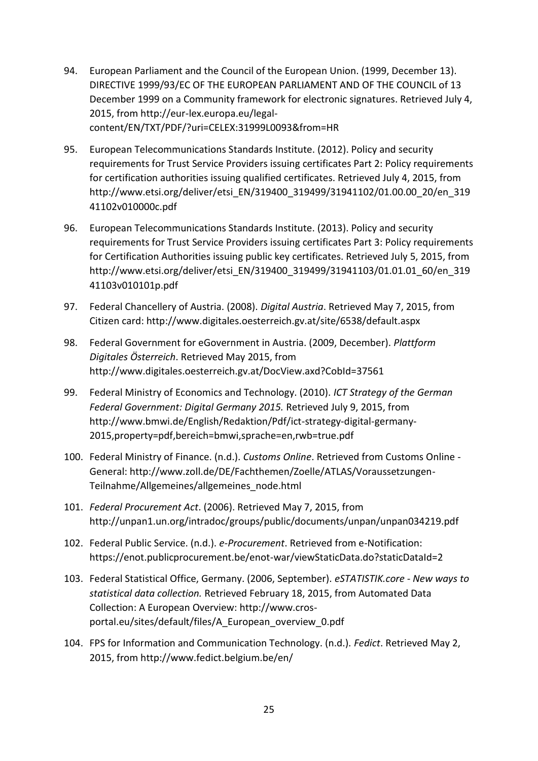- 94. European Parliament and the Council of the European Union. (1999, December 13). DIRECTIVE 1999/93/EC OF THE EUROPEAN PARLIAMENT AND OF THE COUNCIL of 13 December 1999 on a Community framework for electronic signatures. Retrieved July 4, 2015, from http://eur-lex.europa.eu/legalcontent/EN/TXT/PDF/?uri=CELEX:31999L0093&from=HR
- 95. European Telecommunications Standards Institute. (2012). Policy and security requirements for Trust Service Providers issuing certificates Part 2: Policy requirements for certification authorities issuing qualified certificates. Retrieved July 4, 2015, from http://www.etsi.org/deliver/etsi\_EN/319400\_319499/31941102/01.00.00\_20/en\_319 41102v010000c.pdf
- 96. European Telecommunications Standards Institute. (2013). Policy and security requirements for Trust Service Providers issuing certificates Part 3: Policy requirements for Certification Authorities issuing public key certificates. Retrieved July 5, 2015, from http://www.etsi.org/deliver/etsi\_EN/319400\_319499/31941103/01.01.01\_60/en\_319 41103v010101p.pdf
- 97. Federal Chancellery of Austria. (2008). *Digital Austria*. Retrieved May 7, 2015, from Citizen card: http://www.digitales.oesterreich.gv.at/site/6538/default.aspx
- 98. Federal Government for eGovernment in Austria. (2009, December). *Plattform Digitales Österreich*. Retrieved May 2015, from http://www.digitales.oesterreich.gv.at/DocView.axd?CobId=37561
- 99. Federal Ministry of Economics and Technology. (2010). *ICT Strategy of the German Federal Government: Digital Germany 2015.* Retrieved July 9, 2015, from http://www.bmwi.de/English/Redaktion/Pdf/ict-strategy-digital-germany-2015,property=pdf,bereich=bmwi,sprache=en,rwb=true.pdf
- 100. Federal Ministry of Finance. (n.d.). *Customs Online*. Retrieved from Customs Online General: http://www.zoll.de/DE/Fachthemen/Zoelle/ATLAS/Voraussetzungen-Teilnahme/Allgemeines/allgemeines\_node.html
- 101. *Federal Procurement Act*. (2006). Retrieved May 7, 2015, from http://unpan1.un.org/intradoc/groups/public/documents/unpan/unpan034219.pdf
- 102. Federal Public Service. (n.d.). *e-Procurement*. Retrieved from e-Notification: https://enot.publicprocurement.be/enot-war/viewStaticData.do?staticDataId=2
- 103. Federal Statistical Office, Germany. (2006, September). *eSTATISTIK.core - New ways to statistical data collection.* Retrieved February 18, 2015, from Automated Data Collection: A European Overview: http://www.crosportal.eu/sites/default/files/A\_European\_overview\_0.pdf
- 104. FPS for Information and Communication Technology. (n.d.). *Fedict*. Retrieved May 2, 2015, from http://www.fedict.belgium.be/en/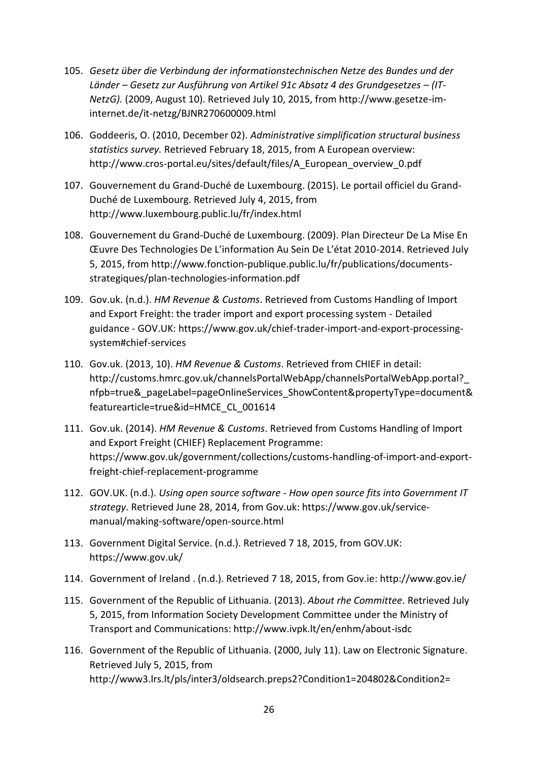- 105. *Gesetz über die Verbindung der informationstechnischen Netze des Bundes und der Länder – Gesetz zur Ausführung von Artikel 91c Absatz 4 des Grundgesetzes – (IT-NetzG).* (2009, August 10). Retrieved July 10, 2015, from http://www.gesetze-iminternet.de/it-netzg/BJNR270600009.html
- 106. Goddeeris, O. (2010, December 02). *Administrative simplification structural business statistics survey.* Retrieved February 18, 2015, from A European overview: http://www.cros-portal.eu/sites/default/files/A\_European\_overview\_0.pdf
- 107. Gouvernement du Grand-Duché de Luxembourg. (2015). Le portail officiel du Grand-Duché de Luxembourg. Retrieved July 4, 2015, from http://www.luxembourg.public.lu/fr/index.html
- 108. Gouvernement du Grand-Duché de Luxembourg. (2009). Plan Directeur De La Mise En Œuvre Des Technologies De L'information Au Sein De L'état 2010-2014. Retrieved July 5, 2015, from http://www.fonction-publique.public.lu/fr/publications/documentsstrategiques/plan-technologies-information.pdf
- 109. Gov.uk. (n.d.). *HM Revenue & Customs*. Retrieved from Customs Handling of Import and Export Freight: the trader import and export processing system - Detailed guidance - GOV.UK: https://www.gov.uk/chief-trader-import-and-export-processingsystem#chief-services
- 110. Gov.uk. (2013, 10). *HM Revenue & Customs*. Retrieved from CHIEF in detail: http://customs.hmrc.gov.uk/channelsPortalWebApp/channelsPortalWebApp.portal? nfpb=true&\_pageLabel=pageOnlineServices\_ShowContent&propertyType=document& featurearticle=true&id=HMCE\_CL\_001614
- 111. Gov.uk. (2014). *HM Revenue & Customs*. Retrieved from Customs Handling of Import and Export Freight (CHIEF) Replacement Programme: https://www.gov.uk/government/collections/customs-handling-of-import-and-exportfreight-chief-replacement-programme
- 112. GOV.UK. (n.d.). *Using open source software - How open source fits into Government IT strategy*. Retrieved June 28, 2014, from Gov.uk: https://www.gov.uk/servicemanual/making-software/open-source.html
- 113. Government Digital Service. (n.d.). Retrieved 7 18, 2015, from GOV.UK: https://www.gov.uk/
- 114. Government of Ireland . (n.d.). Retrieved 7 18, 2015, from Gov.ie: http://www.gov.ie/
- 115. Government of the Republic of Lithuania. (2013). *About rhe Committee*. Retrieved July 5, 2015, from Information Society Development Committee under the Ministry of Transport and Communications: http://www.ivpk.lt/en/enhm/about-isdc
- 116. Government of the Republic of Lithuania. (2000, July 11). Law on Electronic Signature. Retrieved July 5, 2015, from http://www3.lrs.lt/pls/inter3/oldsearch.preps2?Condition1=204802&Condition2=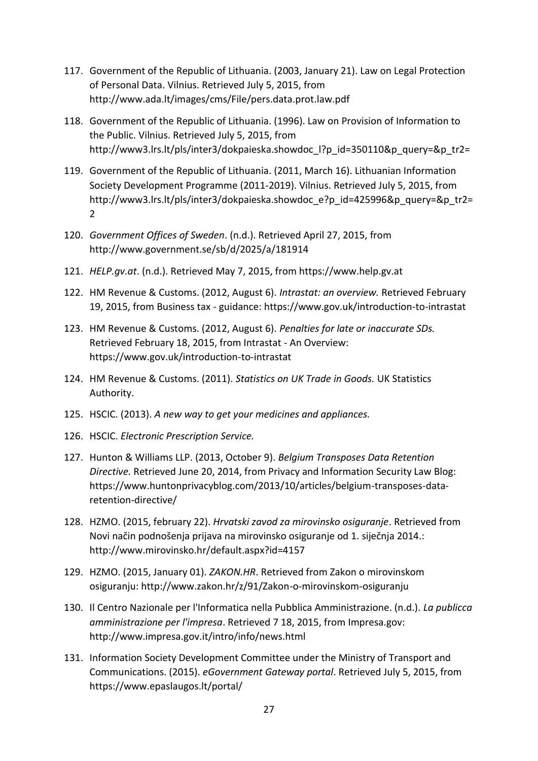- 117. Government of the Republic of Lithuania. (2003, January 21). Law on Legal Protection of Personal Data. Vilnius. Retrieved July 5, 2015, from http://www.ada.lt/images/cms/File/pers.data.prot.law.pdf
- 118. Government of the Republic of Lithuania. (1996). Law on Provision of Information to the Public. Vilnius. Retrieved July 5, 2015, from http://www3.lrs.lt/pls/inter3/dokpaieska.showdoc l?p\_id=350110&p\_query=&p\_tr2=
- 119. Government of the Republic of Lithuania. (2011, March 16). Lithuanian Information Society Development Programme (2011-2019). Vilnius. Retrieved July 5, 2015, from http://www3.lrs.lt/pls/inter3/dokpaieska.showdoc\_e?p\_id=425996&p\_query=&p\_tr2= 2
- 120. *Government Offices of Sweden*. (n.d.). Retrieved April 27, 2015, from http://www.government.se/sb/d/2025/a/181914
- 121. *HELP.gv.at*. (n.d.). Retrieved May 7, 2015, from https://www.help.gv.at
- 122. HM Revenue & Customs. (2012, August 6). *Intrastat: an overview.* Retrieved February 19, 2015, from Business tax - guidance: https://www.gov.uk/introduction-to-intrastat
- 123. HM Revenue & Customs. (2012, August 6). *Penalties for late or inaccurate SDs.* Retrieved February 18, 2015, from Intrastat - An Overview: https://www.gov.uk/introduction-to-intrastat
- 124. HM Revenue & Customs. (2011). *Statistics on UK Trade in Goods.* UK Statistics Authority.
- 125. HSCIC. (2013). *A new way to get your medicines and appliances.*
- 126. HSCIC. *Electronic Prescription Service.*
- 127. Hunton & Williams LLP. (2013, October 9). *Belgium Transposes Data Retention Directive.* Retrieved June 20, 2014, from Privacy and Information Security Law Blog: https://www.huntonprivacyblog.com/2013/10/articles/belgium-transposes-dataretention-directive/
- 128. HZMO. (2015, february 22). *Hrvatski zavod za mirovinsko osiguranje*. Retrieved from Novi način podnošenja prijava na mirovinsko osiguranje od 1. siječnja 2014.: http://www.mirovinsko.hr/default.aspx?id=4157
- 129. HZMO. (2015, January 01). *ZAKON.HR*. Retrieved from Zakon o mirovinskom osiguranju: http://www.zakon.hr/z/91/Zakon-o-mirovinskom-osiguranju
- 130. Il Centro Nazionale per l'Informatica nella Pubblica Amministrazione. (n.d.). *La publicca amministrazione per l'impresa*. Retrieved 7 18, 2015, from Impresa.gov: http://www.impresa.gov.it/intro/info/news.html
- 131. Information Society Development Committee under the Ministry of Transport and Communications. (2015). *eGovernment Gateway portal*. Retrieved July 5, 2015, from https://www.epaslaugos.lt/portal/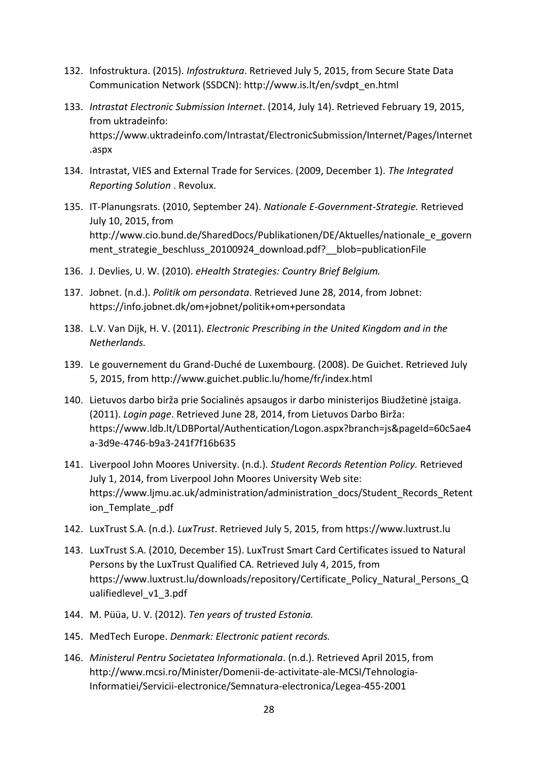- 132. Infostruktura. (2015). *Infostruktura*. Retrieved July 5, 2015, from Secure State Data Communication Network (SSDCN): http://www.is.lt/en/svdpt\_en.html
- 133. *Intrastat Electronic Submission Internet*. (2014, July 14). Retrieved February 19, 2015, from uktradeinfo: https://www.uktradeinfo.com/Intrastat/ElectronicSubmission/Internet/Pages/Internet .aspx
- 134. Intrastat, VIES and External Trade for Services. (2009, December 1). *The Integrated Reporting Solution* . Revolux.
- 135. IT-Planungsrats. (2010, September 24). *Nationale E-Government-Strategie.* Retrieved July 10, 2015, from http://www.cio.bund.de/SharedDocs/Publikationen/DE/Aktuelles/nationale\_e\_govern ment strategie beschluss 20100924 download.pdf? blob=publicationFile
- 136. J. Devlies, U. W. (2010). *eHealth Strategies: Country Brief Belgium.*
- 137. Jobnet. (n.d.). *Politik om persondata*. Retrieved June 28, 2014, from Jobnet: https://info.jobnet.dk/om+jobnet/politik+om+persondata
- 138. L.V. Van Dijk, H. V. (2011). *Electronic Prescribing in the United Kingdom and in the Netherlands.*
- 139. Le gouvernement du Grand-Duché de Luxembourg. (2008). De Guichet. Retrieved July 5, 2015, from http://www.guichet.public.lu/home/fr/index.html
- 140. Lietuvos darbo birža prie Socialinės apsaugos ir darbo ministerijos Biudžetinė įstaiga. (2011). *Login page*. Retrieved June 28, 2014, from Lietuvos Darbo Birža: https://www.ldb.lt/LDBPortal/Authentication/Logon.aspx?branch=js&pageId=60c5ae4 a-3d9e-4746-b9a3-241f7f16b635
- 141. Liverpool John Moores University. (n.d.). *Student Records Retention Policy.* Retrieved July 1, 2014, from Liverpool John Moores University Web site: https://www.ljmu.ac.uk/administration/administration\_docs/Student\_Records\_Retent ion\_Template\_.pdf
- 142. LuxTrust S.A. (n.d.). *LuxTrust*. Retrieved July 5, 2015, from https://www.luxtrust.lu
- 143. LuxTrust S.A. (2010, December 15). LuxTrust Smart Card Certificates issued to Natural Persons by the LuxTrust Qualified CA. Retrieved July 4, 2015, from https://www.luxtrust.lu/downloads/repository/Certificate\_Policy\_Natural\_Persons\_Q ualifiedlevel v1\_3.pdf
- 144. M. Püüa, U. V. (2012). *Ten years of trusted Estonia.*
- 145. MedTech Europe. *Denmark: Electronic patient records.*
- 146. *Ministerul Pentru Societatea Informationala*. (n.d.). Retrieved April 2015, from http://www.mcsi.ro/Minister/Domenii-de-activitate-ale-MCSI/Tehnologia-Informatiei/Servicii-electronice/Semnatura-electronica/Legea-455-2001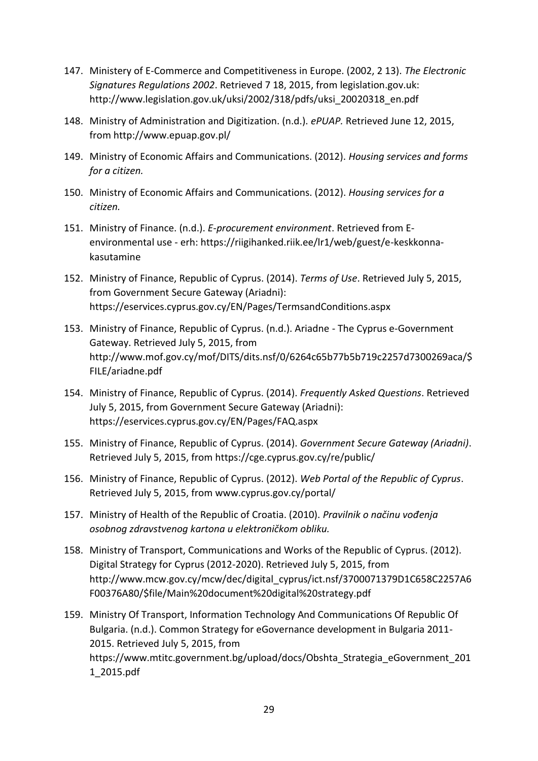- 147. Ministery of E-Commerce and Competitiveness in Europe. (2002, 2 13). *The Electronic Signatures Regulations 2002*. Retrieved 7 18, 2015, from legislation.gov.uk: http://www.legislation.gov.uk/uksi/2002/318/pdfs/uksi\_20020318\_en.pdf
- 148. Ministry of Administration and Digitization. (n.d.). *ePUAP.* Retrieved June 12, 2015, from http://www.epuap.gov.pl/
- 149. Ministry of Economic Affairs and Communications. (2012). *Housing services and forms for a citizen.*
- 150. Ministry of Economic Affairs and Communications. (2012). *Housing services for a citizen.*
- 151. Ministry of Finance. (n.d.). *E-procurement environment*. Retrieved from Eenvironmental use - erh: https://riigihanked.riik.ee/lr1/web/guest/e-keskkonnakasutamine
- 152. Ministry of Finance, Republic of Cyprus. (2014). *Terms of Use*. Retrieved July 5, 2015, from Government Secure Gateway (Ariadni): https://eservices.cyprus.gov.cy/EN/Pages/TermsandConditions.aspx
- 153. Ministry of Finance, Republic of Cyprus. (n.d.). Ariadne The Cyprus e-Government Gateway. Retrieved July 5, 2015, from http://www.mof.gov.cy/mof/DITS/dits.nsf/0/6264c65b77b5b719c2257d7300269aca/\$ FILE/ariadne.pdf
- 154. Ministry of Finance, Republic of Cyprus. (2014). *Frequently Asked Questions*. Retrieved July 5, 2015, from Government Secure Gateway (Ariadni): https://eservices.cyprus.gov.cy/EN/Pages/FAQ.aspx
- 155. Ministry of Finance, Republic of Cyprus. (2014). *Government Secure Gateway (Ariadni)*. Retrieved July 5, 2015, from https://cge.cyprus.gov.cy/re/public/
- 156. Ministry of Finance, Republic of Cyprus. (2012). *Web Portal of the Republic of Cyprus*. Retrieved July 5, 2015, from www.cyprus.gov.cy/portal/
- 157. Ministry of Health of the Republic of Croatia. (2010). *Pravilnik o načinu vođenja osobnog zdravstvenog kartona u elektroničkom obliku.*
- 158. Ministry of Transport, Communications and Works of the Republic of Cyprus. (2012). Digital Strategy for Cyprus (2012-2020). Retrieved July 5, 2015, from http://www.mcw.gov.cy/mcw/dec/digital\_cyprus/ict.nsf/3700071379D1C658C2257A6 F00376A80/\$file/Main%20document%20digital%20strategy.pdf
- 159. Ministry Of Transport, Information Technology And Communications Of Republic Of Bulgaria. (n.d.). Common Strategy for eGovernance development in Bulgaria 2011- 2015. Retrieved July 5, 2015, from https://www.mtitc.government.bg/upload/docs/Obshta Strategia eGovernment 201 1\_2015.pdf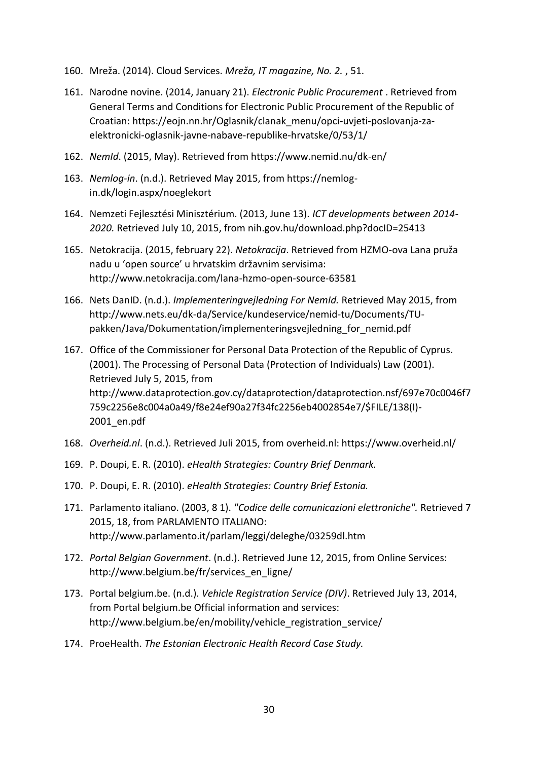- 160. Mreža. (2014). Cloud Services. *Mreža, IT magazine, No. 2.* , 51.
- 161. Narodne novine. (2014, January 21). *Electronic Public Procurement* . Retrieved from General Terms and Conditions for Electronic Public Procurement of the Republic of Croatian: https://eojn.nn.hr/Oglasnik/clanak\_menu/opci-uvjeti-poslovanja-zaelektronicki-oglasnik-javne-nabave-republike-hrvatske/0/53/1/
- 162. *NemId*. (2015, May). Retrieved from https://www.nemid.nu/dk-en/
- 163. *Nemlog-in*. (n.d.). Retrieved May 2015, from https://nemlogin.dk/login.aspx/noeglekort
- 164. Nemzeti Fejlesztési Minisztérium. (2013, June 13). *ICT developments between 2014- 2020.* Retrieved July 10, 2015, from nih.gov.hu/download.php?docID=25413
- 165. Netokracija. (2015, february 22). *Netokracija*. Retrieved from HZMO-ova Lana pruža nadu u 'open source' u hrvatskim državnim servisima: http://www.netokracija.com/lana-hzmo-open-source-63581
- 166. Nets DanID. (n.d.). *Implementeringvejledning For NemId.* Retrieved May 2015, from http://www.nets.eu/dk-da/Service/kundeservice/nemid-tu/Documents/TUpakken/Java/Dokumentation/implementeringsvejledning\_for\_nemid.pdf
- 167. Office of the Commissioner for Personal Data Protection of the Republic of Cyprus. (2001). The Processing of Personal Data (Protection of Individuals) Law (2001). Retrieved July 5, 2015, from http://www.dataprotection.gov.cy/dataprotection/dataprotection.nsf/697e70c0046f7 759c2256e8c004a0a49/f8e24ef90a27f34fc2256eb4002854e7/\$FILE/138(I)- 2001\_en.pdf
- 168. *Overheid.nl*. (n.d.). Retrieved Juli 2015, from overheid.nl: https://www.overheid.nl/
- 169. P. Doupi, E. R. (2010). *eHealth Strategies: Country Brief Denmark.*
- 170. P. Doupi, E. R. (2010). *eHealth Strategies: Country Brief Estonia.*
- 171. Parlamento italiano. (2003, 8 1). *"Codice delle comunicazioni elettroniche".* Retrieved 7 2015, 18, from PARLAMENTO ITALIANO: http://www.parlamento.it/parlam/leggi/deleghe/03259dl.htm
- 172. *Portal Belgian Government*. (n.d.). Retrieved June 12, 2015, from Online Services: http://www.belgium.be/fr/services\_en\_ligne/
- 173. Portal belgium.be. (n.d.). *Vehicle Registration Service (DIV)*. Retrieved July 13, 2014, from Portal belgium.be Official information and services: http://www.belgium.be/en/mobility/vehicle\_registration\_service/
- 174. ProeHealth. *The Estonian Electronic Health Record Case Study.*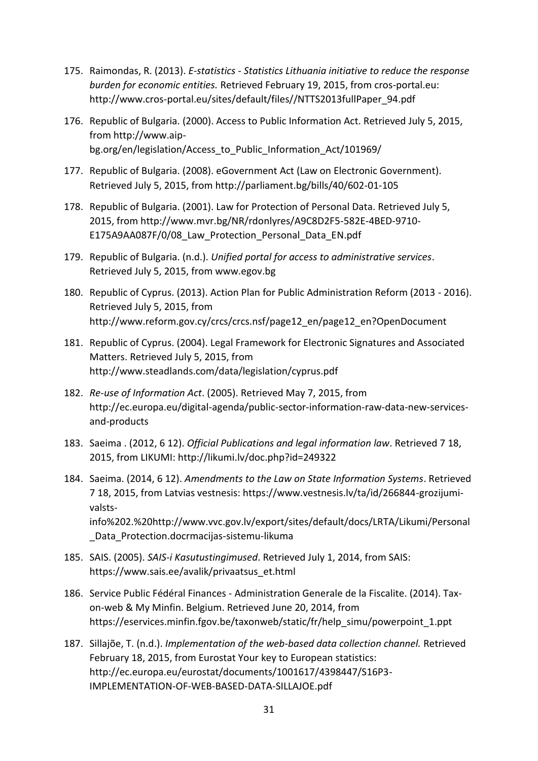- 175. Raimondas, R. (2013). *E-statistics - Statistics Lithuania initiative to reduce the response burden for economic entities.* Retrieved February 19, 2015, from cros-portal.eu: http://www.cros-portal.eu/sites/default/files//NTTS2013fullPaper\_94.pdf
- 176. Republic of Bulgaria. (2000). Access to Public Information Act. Retrieved July 5, 2015, from http://www.aipbg.org/en/legislation/Access\_to\_Public\_Information\_Act/101969/
- 177. Republic of Bulgaria. (2008). eGovernment Act (Law on Electronic Government). Retrieved July 5, 2015, from http://parliament.bg/bills/40/602-01-105
- 178. Republic of Bulgaria. (2001). Law for Protection of Personal Data. Retrieved July 5, 2015, from http://www.mvr.bg/NR/rdonlyres/A9C8D2F5-582E-4BED-9710- E175A9AA087F/0/08 Law Protection Personal Data EN.pdf
- 179. Republic of Bulgaria. (n.d.). *Unified portal for access to administrative services*. Retrieved July 5, 2015, from www.egov.bg
- 180. Republic of Cyprus. (2013). Action Plan for Public Administration Reform (2013 2016). Retrieved July 5, 2015, from http://www.reform.gov.cy/crcs/crcs.nsf/page12\_en/page12\_en?OpenDocument
- 181. Republic of Cyprus. (2004). Legal Framework for Electronic Signatures and Associated Matters. Retrieved July 5, 2015, from http://www.steadlands.com/data/legislation/cyprus.pdf
- 182. *Re-use of Information Act*. (2005). Retrieved May 7, 2015, from http://ec.europa.eu/digital-agenda/public-sector-information-raw-data-new-servicesand-products
- 183. Saeima . (2012, 6 12). *Official Publications and legal information law*. Retrieved 7 18, 2015, from LIKUMI: http://likumi.lv/doc.php?id=249322
- 184. Saeima. (2014, 6 12). *Amendments to the Law on State Information Systems*. Retrieved 7 18, 2015, from Latvias vestnesis: https://www.vestnesis.lv/ta/id/266844-grozijumivalstsinfo%202.%20http://www.vvc.gov.lv/export/sites/default/docs/LRTA/Likumi/Personal \_Data\_Protection.docrmacijas-sistemu-likuma
- 185. SAIS. (2005). *SAIS-i Kasutustingimused*. Retrieved July 1, 2014, from SAIS: https://www.sais.ee/avalik/privaatsus\_et.html
- 186. Service Public Fédéral Finances Administration Generale de la Fiscalite. (2014). Taxon-web & My Minfin. Belgium. Retrieved June 20, 2014, from https://eservices.minfin.fgov.be/taxonweb/static/fr/help\_simu/powerpoint\_1.ppt
- 187. Sillajõe, T. (n.d.). *Implementation of the web-based data collection channel.* Retrieved February 18, 2015, from Eurostat Your key to European statistics: http://ec.europa.eu/eurostat/documents/1001617/4398447/S16P3- IMPLEMENTATION-OF-WEB-BASED-DATA-SILLAJOE.pdf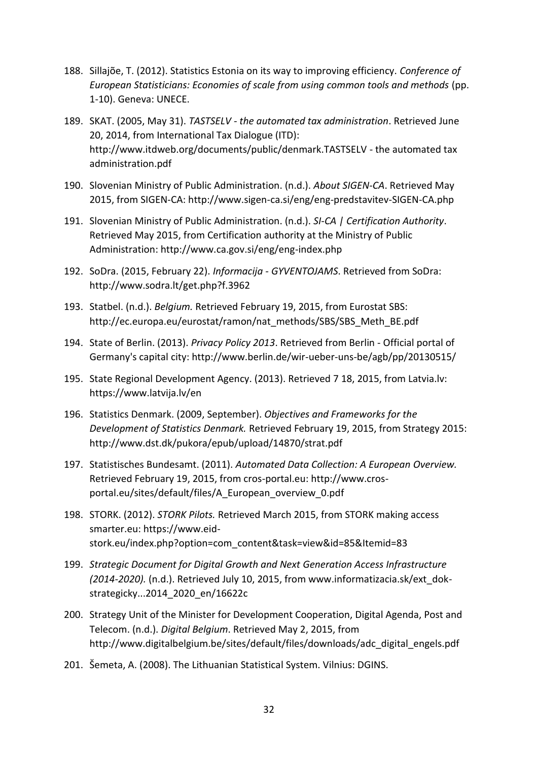- 188. Sillajõe, T. (2012). Statistics Estonia on its way to improving efficiency. *Conference of European Statisticians: Economies of scale from using common tools and methods* (pp. 1-10). Geneva: UNECE.
- 189. SKAT. (2005, May 31). *TASTSELV - the automated tax administration*. Retrieved June 20, 2014, from International Tax Dialogue (ITD): http://www.itdweb.org/documents/public/denmark.TASTSELV - the automated tax administration.pdf
- 190. Slovenian Ministry of Public Administration. (n.d.). *About SIGEN-CA*. Retrieved May 2015, from SIGEN-CA: http://www.sigen-ca.si/eng/eng-predstavitev-SIGEN-CA.php
- 191. Slovenian Ministry of Public Administration. (n.d.). *SI-CA | Certification Authority*. Retrieved May 2015, from Certification authority at the Ministry of Public Administration: http://www.ca.gov.si/eng/eng-index.php
- 192. SoDra. (2015, February 22). *Informacija - GYVENTOJAMS*. Retrieved from SoDra: http://www.sodra.lt/get.php?f.3962
- 193. Statbel. (n.d.). *Belgium.* Retrieved February 19, 2015, from Eurostat SBS: http://ec.europa.eu/eurostat/ramon/nat\_methods/SBS/SBS\_Meth\_BE.pdf
- 194. State of Berlin. (2013). *Privacy Policy 2013*. Retrieved from Berlin Official portal of Germany's capital city: http://www.berlin.de/wir-ueber-uns-be/agb/pp/20130515/
- 195. State Regional Development Agency. (2013). Retrieved 7 18, 2015, from Latvia.lv: https://www.latvija.lv/en
- 196. Statistics Denmark. (2009, September). *Objectives and Frameworks for the Development of Statistics Denmark.* Retrieved February 19, 2015, from Strategy 2015: http://www.dst.dk/pukora/epub/upload/14870/strat.pdf
- 197. Statistisches Bundesamt. (2011). *Automated Data Collection: A European Overview.* Retrieved February 19, 2015, from cros-portal.eu: http://www.crosportal.eu/sites/default/files/A\_European\_overview\_0.pdf
- 198. STORK. (2012). *STORK Pilots.* Retrieved March 2015, from STORK making access smarter.eu: https://www.eidstork.eu/index.php?option=com\_content&task=view&id=85&Itemid=83
- 199. *Strategic Document for Digital Growth and Next Generation Access Infrastructure (2014-2020).* (n.d.). Retrieved July 10, 2015, from www.informatizacia.sk/ext\_dokstrategicky...2014\_2020\_en/16622c
- 200. Strategy Unit of the Minister for Development Cooperation, Digital Agenda, Post and Telecom. (n.d.). *Digital Belgium*. Retrieved May 2, 2015, from http://www.digitalbelgium.be/sites/default/files/downloads/adc\_digital\_engels.pdf
- 201. Šemeta, A. (2008). The Lithuanian Statistical System. Vilnius: DGINS.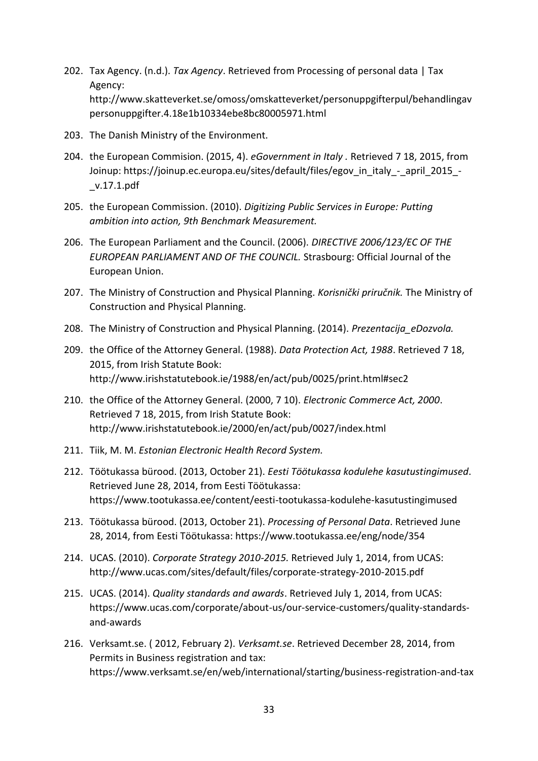- 202. Tax Agency. (n.d.). *Tax Agency*. Retrieved from Processing of personal data | Tax Agency: http://www.skatteverket.se/omoss/omskatteverket/personuppgifterpul/behandlingav personuppgifter.4.18e1b10334ebe8bc80005971.html
- 203. The Danish Ministry of the Environment.
- 204. the European Commision. (2015, 4). *eGovernment in Italy .* Retrieved 7 18, 2015, from Joinup: https://joinup.ec.europa.eu/sites/default/files/egov\_in\_italy\_-\_april\_2015\_- \_v.17.1.pdf
- 205. the European Commission. (2010). *Digitizing Public Services in Europe: Putting ambition into action, 9th Benchmark Measurement.*
- 206. The European Parliament and the Council. (2006). *DIRECTIVE 2006/123/EC OF THE EUROPEAN PARLIAMENT AND OF THE COUNCIL.* Strasbourg: Official Journal of the European Union.
- 207. The Ministry of Construction and Physical Planning. *Korisnički priručnik.* The Ministry of Construction and Physical Planning.
- 208. The Ministry of Construction and Physical Planning. (2014). *Prezentacija\_eDozvola.*
- 209. the Office of the Attorney General. (1988). *Data Protection Act, 1988*. Retrieved 7 18, 2015, from Irish Statute Book: http://www.irishstatutebook.ie/1988/en/act/pub/0025/print.html#sec2
- 210. the Office of the Attorney General. (2000, 7 10). *Electronic Commerce Act, 2000*. Retrieved 7 18, 2015, from Irish Statute Book: http://www.irishstatutebook.ie/2000/en/act/pub/0027/index.html
- 211. Tiik, M. M. *Estonian Electronic Health Record System.*
- 212. Töötukassa bürood. (2013, October 21). *Eesti Töötukassa kodulehe kasutustingimused*. Retrieved June 28, 2014, from Eesti Töötukassa: https://www.tootukassa.ee/content/eesti-tootukassa-kodulehe-kasutustingimused
- 213. Töötukassa bürood. (2013, October 21). *Processing of Personal Data*. Retrieved June 28, 2014, from Eesti Töötukassa: https://www.tootukassa.ee/eng/node/354
- 214. UCAS. (2010). *Corporate Strategy 2010-2015.* Retrieved July 1, 2014, from UCAS: http://www.ucas.com/sites/default/files/corporate-strategy-2010-2015.pdf
- 215. UCAS. (2014). *Quality standards and awards*. Retrieved July 1, 2014, from UCAS: https://www.ucas.com/corporate/about-us/our-service-customers/quality-standardsand-awards
- 216. Verksamt.se. ( 2012, February 2). *Verksamt.se*. Retrieved December 28, 2014, from Permits in Business registration and tax: https://www.verksamt.se/en/web/international/starting/business-registration-and-tax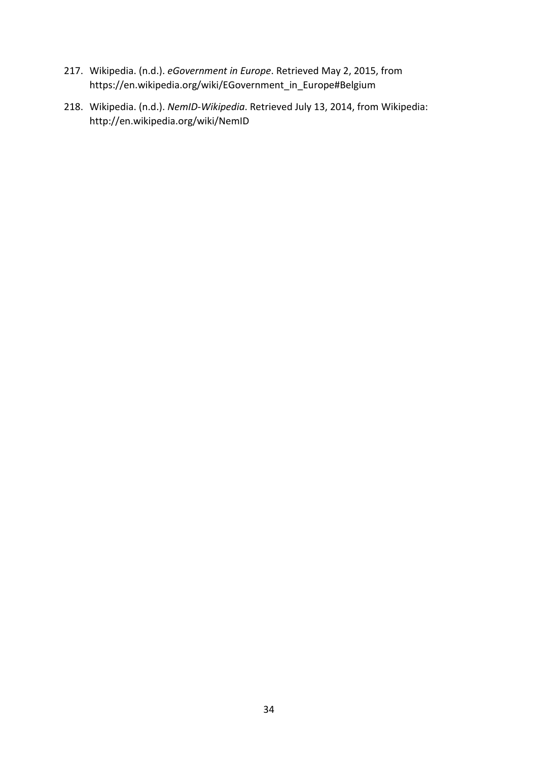- 217. Wikipedia. (n.d.). *eGovernment in Europe*. Retrieved May 2, 2015, from https://en.wikipedia.org/wiki/EGovernment\_in\_Europe#Belgium
- 218. Wikipedia. (n.d.). *NemID-Wikipedia*. Retrieved July 13, 2014, from Wikipedia: http://en.wikipedia.org/wiki/NemID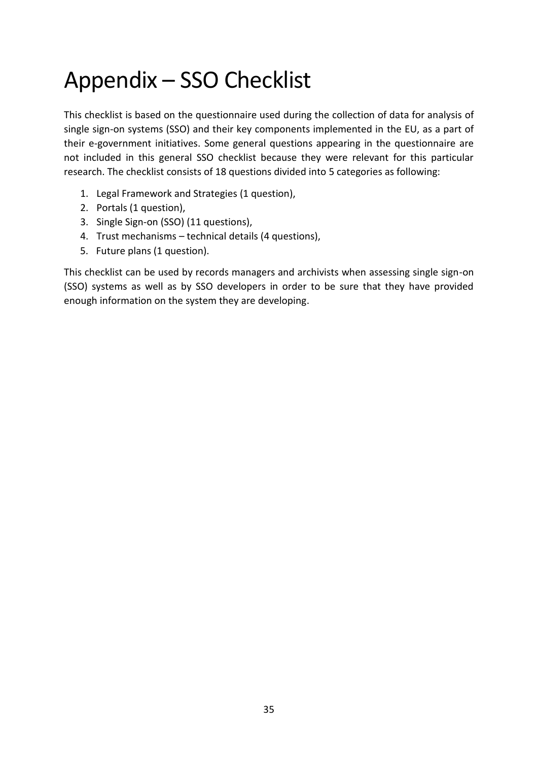# <span id="page-34-0"></span>Appendix – SSO Checklist

This checklist is based on the questionnaire used during the collection of data for analysis of single sign-on systems (SSO) and their key components implemented in the EU, as a part of their e-government initiatives. Some general questions appearing in the questionnaire are not included in this general SSO checklist because they were relevant for this particular research. The checklist consists of 18 questions divided into 5 categories as following:

- 1. Legal Framework and Strategies (1 question),
- 2. Portals (1 question),
- 3. Single Sign-on (SSO) (11 questions),
- 4. Trust mechanisms technical details (4 questions),
- 5. Future plans (1 question).

This checklist can be used by records managers and archivists when assessing single sign-on (SSO) systems as well as by SSO developers in order to be sure that they have provided enough information on the system they are developing.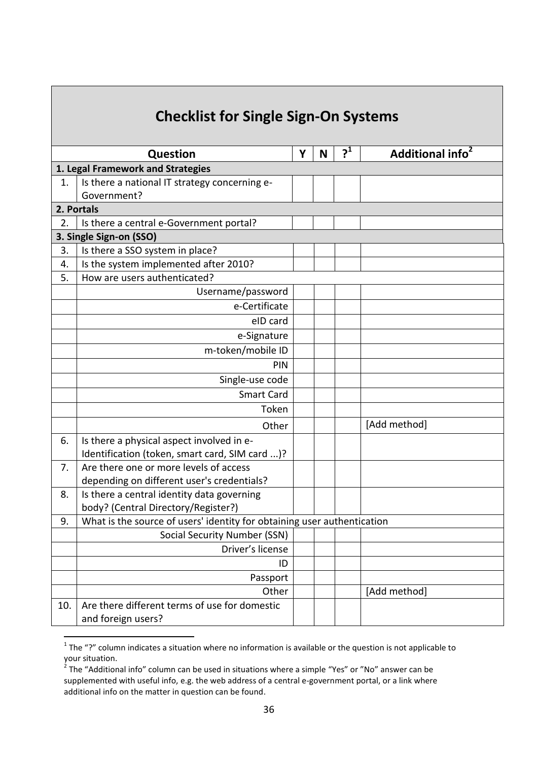|     | <b>Checklist for Single Sign-On Systems</b>                             |   |   |       |                              |
|-----|-------------------------------------------------------------------------|---|---|-------|------------------------------|
|     | <b>Question</b>                                                         | Y | N | $2^1$ | Additional info <sup>2</sup> |
|     | 1. Legal Framework and Strategies                                       |   |   |       |                              |
| 1.  | Is there a national IT strategy concerning e-                           |   |   |       |                              |
|     | Government?                                                             |   |   |       |                              |
|     | 2. Portals                                                              |   |   |       |                              |
| 2.  | Is there a central e-Government portal?                                 |   |   |       |                              |
|     | 3. Single Sign-on (SSO)                                                 |   |   |       |                              |
| 3.  | Is there a SSO system in place?                                         |   |   |       |                              |
| 4.  | Is the system implemented after 2010?                                   |   |   |       |                              |
| 5.  | How are users authenticated?                                            |   |   |       |                              |
|     | Username/password                                                       |   |   |       |                              |
|     | e-Certificate                                                           |   |   |       |                              |
|     | eID card                                                                |   |   |       |                              |
|     | e-Signature                                                             |   |   |       |                              |
|     | m-token/mobile ID                                                       |   |   |       |                              |
|     | PIN                                                                     |   |   |       |                              |
|     | Single-use code                                                         |   |   |       |                              |
|     | <b>Smart Card</b>                                                       |   |   |       |                              |
|     | Token                                                                   |   |   |       |                              |
|     | Other                                                                   |   |   |       | [Add method]                 |
| 6.  | Is there a physical aspect involved in e-                               |   |   |       |                              |
|     | Identification (token, smart card, SIM card )?                          |   |   |       |                              |
| 7.  | Are there one or more levels of access                                  |   |   |       |                              |
|     | depending on different user's credentials?                              |   |   |       |                              |
| 8.  | Is there a central identity data governing                              |   |   |       |                              |
|     | body? (Central Directory/Register?)                                     |   |   |       |                              |
| 9.  | What is the source of users' identity for obtaining user authentication |   |   |       |                              |
|     | Social Security Number (SSN)                                            |   |   |       |                              |
|     | Driver's license                                                        |   |   |       |                              |
|     | ID                                                                      |   |   |       |                              |
|     | Passport                                                                |   |   |       |                              |
|     | Other                                                                   |   |   |       | [Add method]                 |
| 10. | Are there different terms of use for domestic                           |   |   |       |                              |
|     | and foreign users?                                                      |   |   |       |                              |

 1 The "?" column indicates a situation where no information is available or the question is not applicable to your situation.<br><sup>2</sup> The "Additional info" column can be used in situations where a simple "Yes" or "No" answer can be

supplemented with useful info, e.g. the web address of a central e-government portal, or a link where additional info on the matter in question can be found.